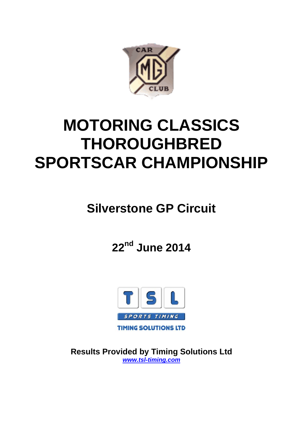

# **MOTORING CLASSICS THOROUGHBRED SPORTSCAR CHAMPIONSHIP**

# **Silverstone GP Circuit**

**22nd June 2014**



**Results Provided by Timing Solutions Ltd**  *www.tsl-timing.com*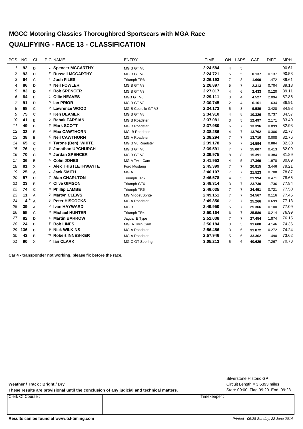# **MGCC Motoring Classics Thoroughbred Sportscars with MGA Race QUALIFYING - RACE 13 - CLASSIFICATION**

| <b>POS</b> | <b>NO</b>   | <b>CL</b>      | PIC NAME                          | <b>ENTRY</b>         | <b>TIME</b> | ON             | LAPS           | GAP    | <b>DIFF</b> | <b>MPH</b> |
|------------|-------------|----------------|-----------------------------------|----------------------|-------------|----------------|----------------|--------|-------------|------------|
| 1          | 92          | D              | <sup>1</sup> Spencer MCCARTHY     | MG B GT V8           | 2:24.584    | 4              | 5              |        |             | 90.61      |
| 2          | 93          | D              | <sup>2</sup> Russell MCCARTHY     | MG B GT V8           | 2:24.721    | 5              | 5              | 0.137  | 0.137       | 90.53      |
| 3          | 64          | $\mathsf{C}$   | <b>Josh FILES</b>                 | Triumph TR6          | 2:26.193    | $\overline{7}$ | 8              | 1.609  | 1.472       | 89.61      |
| 4          | 86          | D              | 3 Neil FOWLER                     | MG B GT V8           | 2:26.897    | 5              | 7              | 2.313  | 0.704       | 89.18      |
| 5          | 83          | D              | 4 Rob SPENCER                     | MG B GT V8           | 2:27.017    | 4              | 6              | 2.433  | 0.120       | 89.11      |
| 6          | 84          | B              | <b>Ollie NEAVES</b><br>1          | MGB GT V8            | 2:29.111    | 3              | $\overline{4}$ | 4.527  | 2.094       | 87.86      |
| 7          | 91          | D.             | 5 Ian PRIOR                       | MG B GT V8           | 2:30.745    | 2              | 4              | 6.161  | 1.634       | 86.91      |
| 8          | 68          | $\mathsf{C}$   | 2 Lawrence WOOD                   | MG B Costello GT V8  | 2:34.173    | 5              | 8              | 9.589  | 3.428       | 84.98      |
| 9          | 75          | $\mathsf{C}$   | 3 Ken DEAMER                      | MG B GT V8           | 2:34.910    | 4              | 8              | 10.326 | 0.737       | 84.57      |
| 10         | 41          | B              | <sup>2</sup> Babak FARSIAN        | <b>MG B Roadster</b> | 2:37.081    | 3              | 5              | 12.497 | 2.171       | 83.40      |
| 11         | 49          | B              | 3 Mark SCOTT                      | <b>MG B Roadster</b> | 2:37.980    | 6              | $\overline{7}$ | 13.396 | 0.899       | 82.93      |
| 12         | 33          | B              | 4 Max CAWTHORN                    | MG B Roadster        | 2:38.286    | 4              | 7              | 13.702 | 0.306       | 82.77      |
| 13         | 38          | B              | 5 Neil CAWTHORN                   | <b>MG A Roadster</b> | 2:38.294    | 7              | 7              | 13.710 | 0.008       | 82.76      |
| 14         | 65          | $\mathcal{C}$  | <sup>4</sup> Tyrone (Ben) WHITE   | MG B V8 Roadster     | 2:39.178    | 6              | 7              | 14.594 | 0.884       | 82.30      |
| 15         | 76          | $\mathcal{C}$  | 5 Jonathan UPCHURCH               | MG B GT V8           | 2:39.591    | $\overline{7}$ | 7              | 15.007 | 0.413       | 82.09      |
| 16         | 70          | $\mathsf{C}$   | 6 Jordan SPENCER                  | MG B GT V8           | 2:39.975    | 8              | 8              | 15.391 | 0.384       | 81.89      |
| 17         | 36          | B              | 6 Colin JONES                     | MG A Twin Cam        | 2:41.953    | 4              | 5              | 17.369 | 1.978       | 80.89      |
| 18         | 81          | X              | <sup>1</sup> Alex THISTLETHWAYTE  | Ford Mustang         | 2:45.399    | $\overline{7}$ | 7              | 20.815 | 3.446       | 79.21      |
| 19         | 25          | $\overline{A}$ | <b>Jack SMITH</b><br>$\mathbf{1}$ | MG A                 | 2:46.107    | $\overline{7}$ | 7              | 21.523 | 0.708       | 78.87      |
| 20         | 57          | $\mathsf{C}$   | 7 Alan CHARLTON                   | Triumph TR6          | 2:46.578    | 4              | 5              | 21.994 | 0.471       | 78.65      |
| 21         | 23          | B              | 7 Clive GIMSON                    | Triumph GT6          | 2:48.314    | 3              | 7              | 23.730 | 1.736       | 77.84      |
| 22         | 74          | $\mathsf{C}$   | 8 Phillip LAMBE                   | Triumph TR6          | 2:49.035    | $\overline{7}$ | 7              | 24.451 | 0.721       | 77.50      |
| 23         | 11          | $\overline{A}$ | 2 Martyn CLEWS                    | MG Midget/Sprite     | 2:49.151    | $\overline{7}$ | $\overline{7}$ | 24.567 | 0.116       | 77.45      |
| 24         | $\ast$<br>4 | $\overline{A}$ | 3 Peter HISCOCKS                  | MG A Roadster        | 2:49.850    | $\overline{7}$ | 7              | 25.266 | 0.699       | 77.13      |
| 25         | 39          | $\overline{A}$ | 4 Ivan HAYWARD                    | MG <sub>B</sub>      | 2:49.950    | 5              | 7              | 25.366 | 0.100       | 77.09      |
| 26         | 55          | $\mathsf{C}$   | 9 Michael HUNTER                  | Triumph TR4          | 2:50.164    | 6              | 7              | 25.580 | 0.214       | 76.99      |
| 27         | 82          | $\mathsf{D}$   | 6 Martin BARROW                   | Jaguar E Type        | 2:52.038    | $\overline{7}$ | $\overline{7}$ | 27.454 | 1.874       | 76.15      |
| 28         | 24          | B              | 8 Bob LINES                       | MG A Twin Cam        | 2:56.184    | 3              | 5              | 31.600 | 4.146       | 74.36      |
| 29         | 136         | B              | 9 Nick WILKINS                    | <b>MG A Roadster</b> | 2:56.456    | 3              | 6              | 31.872 | 0.272       | 74.24      |
| 30         | 42          | B              | 10 Robert INNES-KER               | MG A Roadster        | 2:57.946    | 5              | 6              | 33.362 | 1.490       | 73.62      |
| 31         | 90          | Χ              | 2 Ian CLARK                       | MG C GT Sebring      | 3:05.213    | 5              | 6              | 40.629 | 7.267       | 70.73      |

**Car 4 - transponder not working, please fix before the race.**

**Weather / Track : Bright / Dry**

These results are provisional until the conclusion of any judicial and technical matters. Start: 09:00 Flag 09:20 End: 09:23

Clerk Of Course : Timekeeper :

Circuit Length = 3.6393 miles Silverstone Historic GP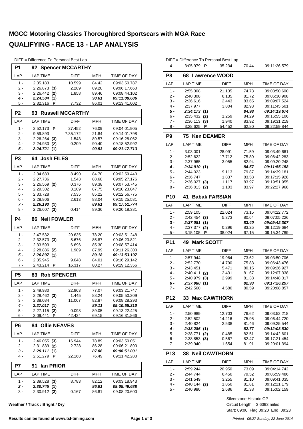| DIFF = Difference To Personal Best Lap |  |  |  |  |  |  |
|----------------------------------------|--|--|--|--|--|--|
|----------------------------------------|--|--|--|--|--|--|

| P <sub>1</sub> | 92 Spencer MCCARTHY            |                         |                |                              |
|----------------|--------------------------------|-------------------------|----------------|------------------------------|
| LAP            | <b>LAP TIME</b>                | <b>DIFF</b>             | <b>MPH</b>     | TIME OF DAY                  |
| $1 -$          | 2:35.183                       | 10.599                  | 84.42          | 09:03:50.787                 |
| 2 -            | $2:26.873$ (3)                 | 2.289                   | 89.20          | 09:06:17.660                 |
| 3 -<br>$4 -$   | $2:26.442$ (2)<br>2:24.584 (1) | 1.858                   | 89.46<br>90.61 | 09:08:44.102<br>09:11:08.686 |
| 5 -            | 2:32.316 <b>P</b>              | 7.732                   | 86.01          | 09:13:41.002                 |
|                |                                |                         |                |                              |
| P <sub>2</sub> | 93                             | <b>Russell MCCARTHY</b> |                |                              |
| LAP            | <b>LAP TIME</b>                | <b>DIFF</b>             | <b>MPH</b>     | TIME OF DAY                  |
| $1 -$          | P<br>2:52.173                  | 27.452                  | 76.09          | 09:04:01.905                 |
| 2 -<br>3 -     | 9.59.893<br>$2:26.264$ (3)     | 7:35.172<br>1.543       | 21.84          | 09:14:01.798                 |
| 4 -            | 2:24.930<br>(2)                | 0.209                   | 89.57<br>90.40 | 09:16:28.062<br>09:18:52.992 |
| 5 -            | 2:24.721 (1)                   |                         | 90.53          | 09:21:17.713                 |
| P <sub>3</sub> | <b>Josh FILES</b><br>64.       |                         |                |                              |
| LAP            | <b>LAP TIME</b>                | <b>DIFF</b>             | MPH            | TIME OF DAY                  |
| $1 -$          | 2:34.683                       | 8.490                   | 84.70          | 09:02:59.440                 |
| 2 -            | 2:27.736                       | 1.543                   | 88.68          | 09:05:27.176                 |
| 3 -            | $2:26.569$ (2)                 | 0.376                   | 89.38          | 09:07:53.745                 |
| 4 -            | 2:29.302                       | 3.109                   | 87.75          | 09:10:23.047                 |
| 5 -            | 2:33.728                       | 7.535                   | 85.22          | 09:12:56.775                 |
| 6 -            | 2:28.806                       | 2.613                   | 88.04          | 09:15:25.581                 |
| $7 -$          | 2:26.193(1)                    |                         | 89.61          | 09:17:51.774                 |
| 8 -            | $2:26.607$ (3)                 | 0.414                   | 89.36          | 09:20:18.381                 |
| P4             | <b>Neil FOWLER</b><br>86       |                         |                |                              |
| LAP            | <b>LAP TIME</b>                | <b>DIFF</b>             | MPH            | TIME OF DAY                  |
| $1 -$          | 2:47.532                       | 20.635                  | 78.20          | 09:03:51.248                 |
| 2 -            | $2:32.573$ (3)                 | 5.676                   | 85.87          | 09:06:23.821                 |
| 3 -<br>4 -     | 2:33.593<br>$2:28.886$ (2)     | 6.696                   | 85.30          | 09:08:57.414<br>09:11:26.300 |
| 5 -            | 2:26.897 (1)                   | 1.989                   | 87.99<br>89.18 | 09:13:53.197                 |
| $6 -$          | 2:35.945                       | 9.048                   | 84.01          | 09:16:29.142                 |
| 7 -            | 2:43.214 P                     | 16.317                  | 80.27          | 09:19:12.356                 |
| P <sub>5</sub> | <b>Rob SPENCER</b><br>83       |                         |                |                              |
| LAP            | LAP TIME                       | <b>DIFF</b>             | MPH            | TIME OF DAY                  |
|                |                                |                         |                |                              |
| 1 -            | 2:49.980                       | 22.963                  | 77.07          | 09:03:21.747                 |
| 2 -<br>3 -     | 2:28.462 (3)<br>2:38.084       | 1.445<br>11.067         | 88.24<br>82.87 | 09:05:50.209<br>09:08:28.293 |
| 4 -            | 2:27.017(1)                    |                         | 89.11          | 09:10:55.310                 |
| 5 -            | 2:27.115 (2)                   | 0.098                   | 89.05          | 09:13:22.425                 |
| 6 -            | 3:09.441<br>P                  | 42.424                  | 69.15          | 09:16:31.866                 |
| P <sub>6</sub> | <b>84 Ollie NEAVES</b>         |                         |                |                              |
| LAP            | LAP TIME                       | <b>DIFF</b>             | MPH            | TIME OF DAY                  |
| 1 -            | 2:46.055 (3)                   | 16.944                  | 78.89          | 09:03:50.051                 |
| $2 -$          | 2:31.839 (2)                   | 2.728                   | 86.28          | 09:06:21.890                 |
| 3 -            | 2:29.111(1)                    |                         | 87.86          | 09:08:51.001                 |
| 4 -            | <u>2:51.279</u><br>P           | 22.168                  | 76.49          | 09:11:42.280                 |
| P7             | 91<br>lan PRIOR                |                         |                |                              |
| LAP            | <b>LAP TIME</b>                | <b>DIFF</b>             | MPH            | TIME OF DAY                  |
| 1 -            | 2:39.528 (3)                   | 8.783                   | 82.12          | 09:03:18.943                 |
| 2 -            | 2:30.745(1)                    |                         | 86.91          | 09:05:49.688                 |
| 3 -            | $2:30.912$ (2)                 | 0.167                   | 86.81          | 09:08:20.600                 |

| Weather / Track : Bright / Dry |  |  |  |
|--------------------------------|--|--|--|
|--------------------------------|--|--|--|

|                 | DIFF = Difference To Personal Best Lap |                  |                         |                              |
|-----------------|----------------------------------------|------------------|-------------------------|------------------------------|
| 4 -             | 3:05.979 $\blacksquare$                | 35.234           | 70.44                   | 09:11:26.579                 |
| P <sub>8</sub>  | 68 Lawrence WOOD                       |                  |                         |                              |
| LAP             | <b>LAP TIME</b>                        | DIFF             | MPH                     | TIME OF DAY                  |
| 1 -             | 2:55.308                               | 21.135           | 74.73                   | 09:03:50.600                 |
| $2 -$           | 2:40.308                               | 6.135            | 81.72                   | 09:06:30.908                 |
| $3 -$           | 2:36.616                               | 2.443            | 83.65                   | 09:09:07.524                 |
| $4 -$           | 2:37.977                               | 3.804            | 82.93                   | 09:11:45.501                 |
| 5 -<br>$6 -$    | 2:34.173(1)<br>$2:35.432$ (2)          | 1.259            | 84.98<br>84.29          | 09:14:19.674<br>09:16:55.106 |
| $7 -$           | 2:36.113(3)                            | 1.940            | 83.92                   | 09:19:31.219                 |
| 8 -             | 3:28.625 P                             | 54.452           | 62.80                   | 09:22:59.844                 |
| P <sub>9</sub>  | <b>Ken DEAMER</b><br>75                |                  |                         |                              |
| LAP             | <b>LAP TIME</b>                        | <b>DIFF</b>      | MPH                     | TIME OF DAY                  |
| $1 -$           | 3:03.001                               | 28.091           | 71.59                   | 09:03:49.661                 |
| $2 -$           | 2:52.622                               | 17.712           | 75.89                   | 09:06:42.283                 |
| $3 -$           | 2:37.965                               | 3.055            | 82.94                   | 09:09:20.248                 |
| $4 -$           | 2:34.910(1)                            |                  | 84.57                   | 09:11:55.158                 |
| 5 -<br>6 -      | 2:44.023<br>2:36.747                   | 9.113<br>1.837   | 79.87<br>83.58          | 09:14:39.181<br>09:17:15.928 |
| 7 -             | $2:36.027$ (3)                         | 1.117            | 83.97                   | 09:19:51.955                 |
| 8 -             | $2:36.013$ (2)                         | 1.103            | 83.97                   | 09:22:27.968                 |
| <b>P10</b>      | 41<br><b>Babak FARSIAN</b>             |                  |                         |                              |
| LAP             | <b>LAP TIME</b>                        | DIFF             | <b>MPH</b>              | TIME OF DAY                  |
| $1 -$           | 2:59.105                               | 22.024           | 73.15                   | 09:04:22.772                 |
| 2 -             | $2:42.454$ (3)                         | 5.373            | 80.64                   | 09:07:05.226                 |
| 3 -             | 2:37.081(1)                            |                  | 83.40                   | 09:09:42.307                 |
| 4 -<br>5 -      | 2:37.377 (2)<br>3:15.105<br>Р          | 0.296<br>38.024  | 83.25<br>67.15          | 09:12:19.684<br>09:15:34.789 |
| <b>P11</b>      | 49<br><b>Mark SCOTT</b>                |                  |                         |                              |
|                 |                                        |                  |                         |                              |
| LAP             | <b>LAP TIME</b>                        | <b>DIFF</b>      | MPH                     | <b>TIME OF DAY</b>           |
| 1 -<br>$2 -$    | 2:57.944<br>2:52.770                   | 19.964<br>14.790 | 73.62<br>75.83          | 09:03:50.706<br>09:06:43.476 |
| 3 -             | 2:43.451                               | 5.471            | 80.15                   | 09:09:26.927                 |
| $4 -$           | 2:40.411<br>(2)                        | 2.431            | 81.67                   | 09:12:07.338                 |
| 5 -             | $2:40.979$ (3)                         | 2.999            | 81.38                   | 09:14:48.317                 |
| 6 -             | 2:37.980 (1)                           |                  | 82.93                   | 09:17:26.297                 |
| 7 -             | 2:42.560                               | 4.580            | 80.59                   | 09:20:08.857                 |
| P12             | 33<br><b>Max CAWTHORN</b>              |                  |                         |                              |
| LAP             | <b>LAP TIME</b>                        | DIFF             | <b>MPH</b>              | TIME OF DAY                  |
| $1 -$           | 2:50.989                               | 12.703           | 76.62                   | 09:03:52.218                 |
| 2 -<br>3 -      | 2:52.502<br>2:40.824                   | 14.216<br>2.538  | 75.95<br>81.46          | 09:06:44.720<br>09:09:25.544 |
| 4 -             | 2:38.286(1)                            |                  | 82.77                   | 09:12:03.830                 |
| 5 -             | $2:38.771$ (2)                         | 0.485            | 82.51                   | 09:14:42.601                 |
| 6 -             | $2:38.853$ (3)                         | 0.567            | 82.47                   | 09:17:21.454                 |
| 7 -             | 2:39.940                               | 1.654            | 81.91                   | 09:20:01.394                 |
| P <sub>13</sub> | <b>38 Neil CAWTHORN</b>                |                  |                         |                              |
| LAP             | <b>LAP TIME</b>                        | DIFF             | MPH                     | TIME OF DAY                  |
| 1 -             | 2:59.244                               | 20.950           | 73.09                   | 09:04:14.742                 |
| 2 -             | 2:44.744                               | 6.450            | 79.52                   | 09:06:59.486                 |
| 3 -             | 2:41.549                               | 3.255            | 81.10                   | 09:09:41.035                 |
| 4 -<br>5 -      | $2:40.144$ (3)<br>2:40.980             | 1.850<br>2.686   | 81.81<br>81.38          | 09:12:21.179<br>09:15:02.159 |
|                 |                                        |                  |                         |                              |
|                 |                                        |                  | Silverstone Historic GP |                              |

Start: 09:00 Flag 09:20 End: 09:23 Circuit Length = 3.6393 miles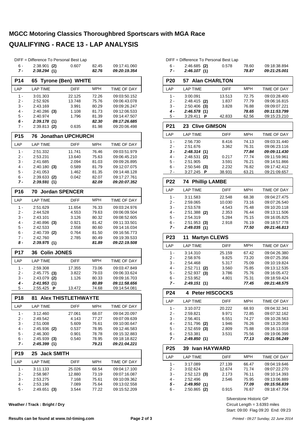|              | DIFF = Difference To Personal Best Lap |                            |                |                              |
|--------------|----------------------------------------|----------------------------|----------------|------------------------------|
| 6 -          | $2:38.901$ (2)                         | 0.607                      | 82.45          | 09:17:41.060                 |
| 7 -          | 2:38.294 (1)                           |                            | 82.76          | 09:20:19.354                 |
| <b>P14</b>   | 65                                     | <b>Tyrone (Ben) WHITE</b>  |                |                              |
| LAP          | <b>LAP TIME</b>                        | <b>DIFF</b>                | <b>MPH</b>     | TIME OF DAY                  |
| 1 -          | 3:01.303                               | 22.125                     | 72.26          | 09:03:50.152                 |
| 2 -          | 2:52.926                               | 13.748                     | 75.76          | 09:06:43.078                 |
| 3 -          | 2:43.169                               | 3.991                      | 80.29          | 09:09:26.247                 |
| $4 -$        | $2:40.286$ (3)                         | 1.108                      | 81.73          | 09:12:06.533                 |
| 5 -          | 2:40.974                               | 1.796                      | 81.39          | 09:14:47.507                 |
| 6 -<br>7 -   | 2:39.178(1)<br>2:39.813 (2)            | 0.635                      | 82.30<br>81.98 | 09:17:26.685<br>09:20:06.498 |
| <b>P15</b>   | 76                                     | <b>Jonathan UPCHURCH</b>   |                |                              |
|              |                                        |                            |                |                              |
| LAP          | <b>LAP TIME</b>                        | <b>DIFF</b>                | <b>MPH</b>     | TIME OF DAY                  |
| 1 -          | 2:51.332                               | 11.741                     | 76.46          | 09:03:51.979                 |
| 2 -          | 2:53.231                               | 13.640                     | 75.63          | 09:06:45.210                 |
| 3 -<br>$4 -$ | 2:41.685                               | 2.094                      | 81.03          | 09:09:26.895                 |
| 5 -          | $2:40.180$ (3)<br>2:41.053             | 0.589<br>1.462             | 81.79<br>81.35 | 09:12:07.075<br>09:14:48.128 |
| 6 -          | $2:39.633$ (2)                         | 0.042                      | 82.07          | 09:17:27.761                 |
| 7 -          | 2:39.591 (1)                           |                            | 82.09          | 09:20:07.352                 |
| P16          | 70                                     | <b>Jordan SPENCER</b>      |                |                              |
|              |                                        |                            |                |                              |
| LAP          | <b>LAP TIME</b>                        | <b>DIFF</b>                | <b>MPH</b>     | TIME OF DAY                  |
| $1 -$        | 2:51.629                               | 11.654                     | 76.33          | 09:03:24.976                 |
| 2 -          | 2:44.528                               | 4.553                      | 79.63          | 09:06:09.504                 |
| 3 -          | 2:43.101                               | 3.126                      | 80.32          | 09:08:52.605                 |
| $4 -$        | $2:40.896$ (3)                         | 0.921                      | 81.42          | 09:11:33.501                 |
| 5 -          | 2:42.533<br>2:40.739 (2)               | 2.558                      | 80.60          | 09:14:16.034                 |
| 6 -<br>7 -   | 2:42.760                               | 0.764<br>2.785             | 81.50<br>80.49 | 09:16:56.773<br>09:19:39.533 |
| 8 -          | 2:39.975(1)                            |                            | 81.89          | <i><b>09:22:19.508</b></i>   |
| <b>P17</b>   | <b>Colin JONES</b><br>36               |                            |                |                              |
| LAP          | <b>LAP TIME</b>                        | DIFF                       | <b>MPH</b>     | TIME OF DAY                  |
| 1 -          | 2:59.308                               | 17.355                     | 73.06          | 09:03:47.849                 |
| 2 -          | $2:45.775$ (3)                         | 3.822                      | 79.03          | 09:06:33.624                 |
| 3 -          | 2:43.079 (2)                           | 1.126                      | 80.33          | 09:09:16.703                 |
| 4 -          | 2:41.953(1)                            |                            | 80.89          | <i><b>09:11:58.656</b></i>   |
| 5 -          | 2:55.425 P                             | 13.472                     | 74.68          | 09:14:54.081                 |
| <b>P18</b>   | 81                                     | <b>Alex THISTLETHWAYTE</b> |                |                              |
| LAP          | <b>LAP TIME</b>                        | DIFF                       | MPH            | TIME OF DAY                  |
| 1 -          | 3:12.460                               | 27.061                     | 68.07          | 09:04:20.097                 |
| 2 -          | 2:49.542                               | 4.143                      | 77.27          | 09:07:09.639                 |
| 3 -          | 2:51.008                               | 5.609                      | 76.61          | 09:10:00.647                 |
| 4 -          | 2:45.936 (2)                           | 0.537                      | 78.95          | 09:12:46.583                 |
| 5 -          | 2:46.300                               | 0.901                      | 78.78          | 09:15:32.883                 |
| 6 -          | $2:45.939$ (3)                         | 0.540                      | 78.95          | 09:18:18.822                 |
| 7 -          | 2:45.399 (1)                           |                            | 79.21          | 09:21:04.221                 |
| <b>P19</b>   | 25<br><b>Jack SMITH</b>                |                            |                |                              |
| LAP          | <b>LAP TIME</b>                        | DIFF                       | <b>MPH</b>     | TIME OF DAY                  |
| 1 -          | 3:11.133                               | 25.026                     | 68.54          | 09:04:17.100                 |
| $2 -$        | 2:58.987                               | 12.880                     | 73.19          | 09:07:16.087                 |
| 3 -          | 2:53.275                               | 7.168                      | 75.61          | 09:10:09.362                 |
| 4 -          | 2:53.196                               | 7.089                      | 75.64          | 09:13:02.558                 |
| 5 -          | 2:49.651 (3)                           | 3.544                      | 77.22          | 09:15:52.209                 |
|              |                                        |                            |                |                              |

**Weather / Track : Bright / Dry**

|                 | DIFF = Difference To Personal Best Lap |                 |                |                              |
|-----------------|----------------------------------------|-----------------|----------------|------------------------------|
| 6 -             | $2:46.685$ (2)                         | 0.578           | 78.60          | 09:18:38.894                 |
| 7 -             | 2:46.107(1)                            |                 | 78.87          | 09:21:25.001                 |
| <b>P20</b>      | 57 Alan CHARLTON                       |                 |                |                              |
| LAP             | <b>LAP TIME</b>                        | <b>DIFF</b>     | MPH            | TIME OF DAY                  |
| $1 -$           | 3:00.091                               | 13.513          | 72.75          | 09:03:28.400                 |
| $2 -$           | 2:48.415<br>(2)                        | 1.837           | 77.79          | 09:06:16.815                 |
| 3 -             | 2:50.406<br>(3)                        | 3.828           | 76.88          | 09:09:07.221                 |
| 4 -             | 2:46.578(1)                            |                 | 78.65          | 09:11:53.799                 |
| 5 -             | 3:29.411<br>P                          | 42.833          | 62.56          | 09:15:23.210                 |
| P21             | <b>Clive GIMSON</b><br>23              |                 |                |                              |
| LAP             | <b>LAP TIME</b>                        | <b>DIFF</b>     | <b>MPH</b>     | TIME OF DAY                  |
| $1 -$           | 2:56.730                               | 8.416           | 74.13          | 09:03:31.440                 |
| $2 -$           | 2:51.676                               | 3.362           | 76.31          | 09:06:23.116                 |
| 3 -             | 2:48.314(1)                            |                 | 77.84          | 09:09:11.430                 |
| $4 -$           | 2:48.531<br>(2)                        | 0.217           | 77.74          | 09:11:59.961                 |
| 5 -             | 2:51.905                               | 3.591           | 76.21          | 09:14:51.866                 |
| 6 -             | 2:50.546<br>(3)                        | 2.232           | 76.82          | 09:17:42.412                 |
| 7 -             | 3:27.245<br>Ρ                          | 38.931          | 63.21          | 09:21:09.657                 |
| P22             | <b>Phillip LAMBE</b><br>74             |                 |                |                              |
| LAP             | <b>LAP TIME</b>                        | DIFF            | <b>MPH</b>     | TIME OF DAY                  |
| 1 -             | 3:11.583                               | 22.548          | 68.38          | 09:04:27.475                 |
| $2 -$           | 2:59.065                               | 10.030          | 73.16          | 09:07:26.540                 |
| 3 -             | 2:53.578                               | 4.543           | 75.48          | 09:10:20.118                 |
| $4 -$           | 2:51.388 (2)                           | 2.353           | 76.44          | 09:13:11.506                 |
| $5 -$           | 2:54.319                               | 5.284           | 75.15          | 09:16:05.825                 |
| $6 -$<br>7 -    | $2:51.953$ (3)<br>2:49.035(1)          | 2.918           | 76.19<br>77.50 | 09:18:57.778<br>09:21:46.813 |
|                 |                                        |                 |                |                              |
|                 |                                        |                 |                |                              |
| P <sub>23</sub> | <b>Martyn CLEWS</b><br>11              |                 |                |                              |
| LAP             | <b>LAP TIME</b>                        | DIFF            | MPH            | TIME OF DAY                  |
| $1 -$           | 3:14.310                               | 25.159          | 67.42          | 09:04:26.380                 |
| $2 -$           | 2:58.976                               | 9.825           | 73.20          | 09:07:25.356                 |
| 3 -             | 2:54.468                               | 5.317           | 75.09          | 09:10:19.824                 |
| $4 -$           | 2:52.711<br>(2)                        | 3.560           | 75.85          | 09:13:12.535                 |
| 5 -             | 2:52.937<br>(3)                        | 3.786           | 75.76          | 09:16:05.472                 |
| 6 -<br>7 -      | 2:53.952<br>2:49.151<br>(1)            | 4.801           | 75.31<br>77.45 | 09:18:59.424<br>09:21:48.575 |
| P <sub>24</sub> | 4 Peter HISCOCKS                       |                 |                |                              |
| LAP             | <b>LAP TIME</b>                        | <b>DIFF</b>     | MPH            | <b>TIME OF DAY</b>           |
|                 |                                        |                 |                |                              |
| 1 -<br>$2 -$    | 3:10.072<br>2:59.821                   | 20.222<br>9.971 | 68.93<br>72.85 | 09:04:32.341<br>09:07:32.162 |
| 3 -             | 2:56.401                               | 6.551           | 74.27          | 09:10:28.563                 |
| $4 -$           | 2:51.796<br>(2)                        | 1.946           | 76.26          | 09:13:20.359                 |
| 5 -             | 2:52.659<br>(3)                        | 2.809           | 75.88          | 09:16:13.018                 |
| 6 -             | 2:53.381                               | 3.531           | 75.56          | 09:19:06.399                 |
| 7 -             | 2:49.850(1)                            |                 | 77.13          | 09:21:56.249                 |
| P <sub>25</sub> | <b>Ivan HAYWARD</b><br>39              |                 |                |                              |
| LAP             | <b>LAP TIME</b>                        | DIFF            | MPH            | TIME OF DAY                  |
| 1 -             | 3:17.089                               | 27.139          | 66.47          | 09:04:19.646                 |
| 2 -             | 3:02.624                               | 12.674          | 71.74          | 09:07:22.270                 |
| 3 -             | $2:52.123$ (3)                         | 2.173           | 76.11          | 09:10:14.393                 |
| 4 -             | 2:52.496                               | 2.546           | 75.95          | 09:13:06.889                 |
| 5 -             | 2:49.950(1)                            |                 | 77.09          | <i><b>09:15:56.839</b></i>   |
| 6 -             | $2:50.865$ (2)                         | 0.915           | 76.67          | 09:18:47.704                 |

Start: 09:00 Flag 09:20 End: 09:23 Circuit Length = 3.6393 miles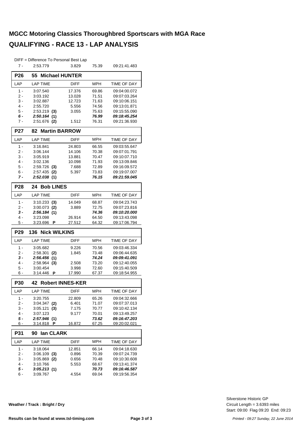|                 | DIFF = Difference To Personal Best Lap |                         |                |                                            |
|-----------------|----------------------------------------|-------------------------|----------------|--------------------------------------------|
| $7 -$           | 2:53.779                               | 3.829                   | 75.39          | 09:21:41.483                               |
| P <sub>26</sub> | 55<br><b>Michael HUNTER</b>            |                         |                |                                            |
| LAP             | <b>LAP TIME</b>                        | <b>DIFF</b>             | <b>MPH</b>     | TIME OF DAY                                |
|                 |                                        |                         |                |                                            |
| $1 -$<br>2 -    | 3:07.540<br>3:03.192                   | 17.376<br>13.028        | 69.86<br>71.51 | 09:04:00.072<br>09:07:03.264               |
| 3 -             | 3:02.887                               | 12.723                  | 71.63          | 09:10:06.151                               |
| 4 -             | 2:55.720                               | 5.556                   | 74.56          | 09:13:01.871                               |
| 5 -             | 2:53.219<br>(3)                        | 3.055                   | 75.63          | 09:15:55.090                               |
| 6 -             | 2:50.164<br>(1)                        |                         | 76.99          | 09:18:45.254                               |
| 7 -             | $2:51.676$ (2)                         | 1.512                   | 76.31          | 09:21:36.930                               |
| <b>P27</b>      | <b>Martin BARROW</b><br>82             |                         |                |                                            |
| LAP             | <b>LAP TIME</b>                        | DIFF                    | <b>MPH</b>     | TIME OF DAY                                |
| $1 -$           | 3:16.841                               | 24.803                  | 66.55          | 09:03:55.647                               |
| $2 -$           | 3:06.144                               | 14.106                  | 70.38          | 09:07:01.791                               |
| 3 -             | 3:05.919                               | 13.881                  | 70.47          | 09:10:07.710                               |
| 4 -             | 3:02.136                               | 10.098                  | 71.93          | 09:13:09.846                               |
| $5 -$           | 2:59.726<br>(3)                        | 7.688                   | 72.89          | 09:16:09.572                               |
| 6 -             | 2:57.435<br>(2)                        | 5.397                   | 73.83          | 09:19:07.007                               |
| 7 -             | 2:52.038(1)                            |                         | 76.15          | 09:21:59.045                               |
| <b>P28</b>      | 24 Bob LINES                           |                         |                |                                            |
| LAP             | <b>LAP TIME</b>                        | <b>DIFF</b>             | <b>MPH</b>     | TIME OF DAY                                |
| $1 -$           | $3:10.233$ (3)                         | 14.049                  | 68.87          | 09:04:23.743                               |
| 2 -             | 3:00.073<br>(2)                        | 3.889                   | 72.75          | 09:07:23.816                               |
| 3 -             | 2:56.184(1)                            |                         | 74.36          | <i><b>09:10:20.000</b></i>                 |
| 4 -             | 3:23.098                               | 26.914                  | 64.50          | 09:13:43.098                               |
| 5 -             | 3:23.696<br>Р                          | 27.512                  | 64.32          | 09:17:06.794                               |
| P <sub>29</sub> | 136<br><b>Nick WILKINS</b>             |                         |                |                                            |
| LAP             | <b>LAP TIME</b>                        | <b>DIFF</b>             | <b>MPH</b>     | TIME OF DAY                                |
| $1 -$           | 3:05.682                               | 9.226                   | 70.56          | 09:03:46.334                               |
| 2 -             | 2:58.301<br>(2)                        | 1.845                   | 73.48          | 09:06:44.635                               |
| 3 -             | 2:56.456<br>(1)                        |                         | 74.24          | 09:09:41.091                               |
| 4 -             | 2:58.964<br>(3)                        | 2.508                   | 73.20          | 09:12:40.055                               |
| 5 -             | 3:00.454                               | 3.998                   | 72.60          | 09:15:40.509                               |
| 6 -             | 3:14.446<br>P                          | 17.990                  | 67.37          | 09:18:54.955                               |
| P30             | 42                                     | <b>Robert INNES-KER</b> |                |                                            |
| LAP             | <b>LAP TIME</b>                        | DIFF                    | MPH            | TIME OF DAY                                |
| 1 -             | 3:20.755                               | 22.809                  | 65.26          | 09:04:32.666                               |
| 2 -             | $3:04.347$ (2)                         | 6.401                   | 71.07          | 09:07:37.013                               |
| 3 -             | 3:05.121<br>(3)                        | 7.175                   | 70.77          | 09:10:42.134                               |
| 4 -             | 3:07.123                               | 9.177                   | 70.01          | 09:13:49.257                               |
| 5 -             | 2:57.946 (1)<br>3:14.818<br>P          |                         | 73.62          | 09:16:47.203                               |
| 6 -             |                                        | 16.872                  | 67.25          | 09:20:02.021                               |
| P31             | lan CLARK<br>90                        |                         |                |                                            |
| LAP             | <b>LAP TIME</b>                        | DIFF                    | MPH            | TIME OF DAY                                |
| $1 -$           | 3:18.064                               | 12.851                  | 66.14          | 09:04:18.630                               |
| 2 -             | 3:06.109<br>(3)                        | 0.896                   | 70.39          | 09:07:24.739                               |
| 3 -             | $3:05.869$ (2)                         | 0.656                   | 70.48          | 09:10:30.608                               |
| 4 -<br>5 -      | 3:10.766                               | 5.553                   | 68.67          | 09:13:41.374                               |
|                 |                                        |                         |                |                                            |
| 6 -             | 3:05.213 (1)<br>3:09.767               | 4.554                   | 70.73<br>69.04 | <i><b>09:16:46.587</b></i><br>09:19:56.354 |

**Weather / Track : Bright / Dry**

Start: 09:00 Flag 09:20 End: 09:23 Circuit Length = 3.6393 miles Silverstone Historic GP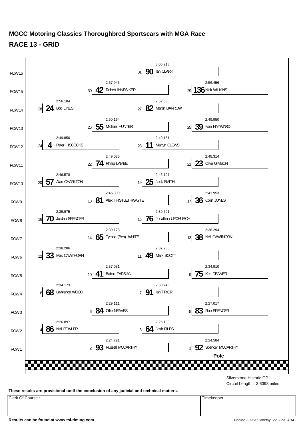

**These results are provisional until the conclusion of any judicial and technical matters.**

Circuit Length = 3.6393 miles

Clerk Of Course : Timekeeper :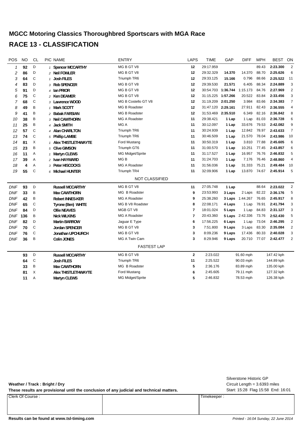# **MGCC Motoring Classics Thoroughbred Sportscars with MGA Race RACE 13 - CLASSIFICATION**

| POS            | <b>NO</b> | <b>CL</b>    | <b>PIC NAME</b>            | <b>ENTRY</b>          | <b>LAPS</b>    | <b>TIME</b>                 | GAP    | <b>DIFF</b>            | <b>MPH</b> | <b>BEST</b> | ON             |
|----------------|-----------|--------------|----------------------------|-----------------------|----------------|-----------------------------|--------|------------------------|------------|-------------|----------------|
| $\mathcal I$   | 92        | D            | 1 Spencer MCCARTHY         | MG B GT V8            | 12             | 29:17.959                   |        |                        | 89.43      | 2:23.300    | 2              |
| 2              | 86        | D            | 2 Neil FOWLER              | MG B GT V8            | 12             | 29:32.329                   | 14.370 | 14.370                 | 88.70      | 2:25.626    | 6              |
| 3              | 64        | C            | 1 Josh FILES               | Triumph TR6           | 12             | 29:33.125                   | 15.166 | 0.796                  | 88.66      | 2:25.522    | 11             |
| 4              | 83        | D            | 3 Rob SPENCER              | MG B GT V8            | 12             | 29:39.530                   | 21.571 | 6.405                  | 88.34      | 2:24.889    | 3              |
| 5              | 91        | D            | 4 Ian PRIOR                | MG B GT V8            | 12             | 30:54.703 1:36.744 1:15.173 |        |                        | 84.76      | 2:27.969    | $\overline{2}$ |
| 6              | 75        | $\mathsf C$  | 2 Ken DEAMER               | MG B GT V8            | 12             | 31:15.225 1:57.266          |        | 20.522                 | 83.84      | 2:33.456    | 3              |
| $\overline{7}$ | 68        | $\mathsf{C}$ | 3 Lawrence WOOD            | MG B Costello GT V8   | 12             | 31:19.209 2:01.250          |        | 3.984                  | 83.66      | 2:34.383    | $\overline{7}$ |
| 8              | 49        | B            | 1 Mark SCOTT               | <b>MG B Roadster</b>  | 12             | 31:47.120 2:29.161          |        | 27.911                 | 82.43      | 2:36.555    | $\overline{4}$ |
| 9              | 41        | B            | 2 Babak FARSIAN            | <b>MG B Roadster</b>  | 12             | 31:53.469 2:35.510          |        | 6.349                  | 82.16      | 2:36.842    | 8              |
| 10             | 38        | B            | 3 Neil CAWTHORN            | <b>MG A Roadster</b>  | 11             | 29:38.421                   | 1 Lap  | 1 Lap                  | 81.03      | 2:36.728    | 6              |
| 11             | 25        | B            | 4 Jack SMITH               | MG A                  | 11             | 30:12.097                   | 1 Lap  | 33.676                 | 79.53      | 2:42.082    | 9              |
| 12             | 57        | $\mathsf C$  | 4 Alan CHARLTON            | Triumph TR6           | 11             | 30:24.939                   | 1 Lap  | 12.842                 | 78.97      | 2:43.633    | $\overline{7}$ |
| 13             | 74        | C            | 5 Phillip LAMBE            | Triumph TR6           | 11             | 30:46.509                   | 1 Lap  | 21.570                 | 78.04      | 2:43.986    | 10             |
| 14             | 81        | Χ            | 1 Alex THISTLETHWAYTE      | Ford Mustang          | 11             | 30:50.319                   | 1 Lap  | 3.810                  | 77.88      | 2:45.605    | 6              |
| 15             | 23        | B            | 5 Clive GIMSON             | Triumph GT6           | 11             | 31:00.570                   | 1 Lap  | 10.251                 | 77.45      | 2:43.857    | 6              |
| 16             | 11        | Α            | 1 Martyn CLEWS             | MG Midget/Sprite      | 11             | 31:17.527                   | 1 Lap  | 16.957                 | 76.76      | 2:46.832    | 5              |
| 17             | 39        | Α            | 2 Ivan HAYWARD             | MG <sub>B</sub>       | 11             | 31:24.703                   | 1 Lap  | 7.176                  | 76.46      | 2:48.860    | 4              |
| 18             | 4         | Α            | 3 Peter HISCOCKS           | <b>MG A Roadster</b>  | 11             | 31:56.036                   | 1 Lap  | 31.333                 | 75.21      | 2:49.484    | 10             |
| 19             | 55        | $\mathsf{C}$ | 6 Michael HUNTER           | Triumph TR4           | 11             | 32:09.906                   | 1 Lap  | 13.870                 | 74.67      | 2:45.914    | 5              |
|                |           |              |                            | <b>NOT CLASSIFIED</b> |                |                             |        |                        |            |             |                |
| <b>DNF</b>     | 93        | D            | <b>Russell MCCARTHY</b>    | MG B GT V8            | 11             | 27:05.748                   | 1 Lap  |                        | 88.64      | 2:23.022    | $\overline{2}$ |
| <b>DNF</b>     | 33        | B            | <b>Max CAWTHORN</b>        | MG B Roadster         | 9              | 23:53.993                   | 3 Laps | 2 Laps                 | 82.22      | 2:36.176    | 5              |
| <b>DNF</b>     | 42        | B            | <b>Robert INNES-KER</b>    | <b>MG A Roadster</b>  | 9              | 25:38.260                   | 3 Laps | 1:44.267               | 76.65      | 2:45.917    | 8              |
| <b>DNF</b>     | 65        | $\mathsf C$  | Tyrone (Ben) WHITE         | MG B V8 Roadster      | 8              | 22:08.171                   | 4 Laps | 1 Lap                  | 78.91      | 2:41.794    | 3              |
| <b>DNF</b>     | 84        | D            | <b>Ollie NEAVES</b>        | MGB GT V8             | $\overline{7}$ | 18:01.024                   | 5 Laps | 1 Lap                  | 84.83      | 2:31.127    | 3              |
| <b>DNF</b>     | 136       | B            | <b>Nick WILKINS</b>        | MG A Roadster         | 7              | 20:43.360                   |        | <b>5 Laps</b> 2:42.336 | 73.76      | 2:52.430    | 5              |
| <b>DNF</b>     | 82        | D            | <b>Martin BARROW</b>       | Jaguar E Type         | 6              | 17:56.225                   | 6 Laps | 1 Lap                  | 73.04      | 2:46.295    | $\overline{2}$ |
| <b>DNF</b>     | 70        | $\mathsf{C}$ | Jordan SPENCER             | MG B GT V8            | 3              | 7:51.800                    | 9 Laps | 3 Laps                 | 83.30      | 2:35.084    | $\overline{2}$ |
| <b>DNF</b>     | 76        | $\mathsf C$  | Jonathan UPCHURCH          | MG B GT V8            | 3              | 8:09.236                    | 9 Laps | 17.436                 | 80.33      | 2:40.028    | 3              |
| <b>DNF</b>     | 36        | B            | <b>Colin JONES</b>         | MG A Twin Cam         | 3              | 8:29.946                    | 9 Laps | 20.710                 | 77.07      | 2:42.477    | $\overline{2}$ |
|                |           |              |                            | <b>FASTEST LAP</b>    |                |                             |        |                        |            |             |                |
|                | 93        | D            | <b>Russell MCCARTHY</b>    | MG B GT V8            | $\mathbf{2}$   | 2:23.022                    |        | 91.60 mph              |            | 147.42 kph  |                |
|                | 64        | $\mathsf{C}$ | <b>Josh FILES</b>          | Triumph TR6           | 11             | 2:25.522                    |        | 90.03 mph              |            | 144.89 kph  |                |
|                | 33        | B            | <b>Max CAWTHORN</b>        | MG B Roadster         | 5              | 2:36.176                    |        | 83.89 mph              |            | 135.00 kph  |                |
|                | 81        | Χ            | <b>Alex THISTLETHWAYTE</b> | Ford Mustang          | 6              | 2:45.605                    |        | 79.11 mph              |            | 127.32 kph  |                |
|                | 11        | Α            | <b>Martyn CLEWS</b>        | MG Midget/Sprite      | 5              | 2:46.832                    |        | 78.53 mph              |            | 126.38 kph  |                |

**Weather / Track : Bright / Dry**

These results are provisional until the conclusion of any judicial and technical matters. Start: 15:28 Flag 15:58 End: 16:01

Clerk Of Course : Timekeeper :

Circuit Length = 3.6393 miles Silverstone Historic GP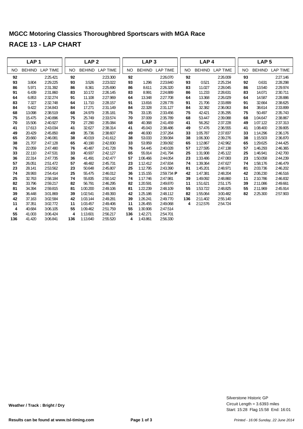|           | LAP <sub>1</sub> |                 |           | LAP <sub>2</sub> |                 | LAP <sub>3</sub> |               |                     | LAP <sub>4</sub> |               |                 |     | LAP <sub>5</sub> |                 |
|-----------|------------------|-----------------|-----------|------------------|-----------------|------------------|---------------|---------------------|------------------|---------------|-----------------|-----|------------------|-----------------|
| <b>NO</b> | <b>BEHIND</b>    | <b>LAP TIME</b> | <b>NO</b> | <b>BEHIND</b>    | <b>LAP TIME</b> | <b>NO</b>        | <b>BEHIND</b> | <b>LAP TIME</b>     | <b>NO</b>        | <b>BEHIND</b> | <b>LAP TIME</b> | NO. | <b>BEHIND</b>    | <b>LAP TIME</b> |
| 92        |                  | 2:25.421        | 92        |                  | 2:23.300        | 92               |               | 2:26.070            | 92               |               | 2:26.009        | 93  |                  | 2:27.146        |
| 93        | 3.804            | 2:29.225        | 93        | 3.526            | 2:23.022        | 93               | 1.296         | 2:23.840            | 93               | 0.521         | 2:25.234        | 92  | 0.631            | 2:28.298        |
| 86        | 5.971            | 2:31.392        | 86        | 8.361            | 2:25.690        | 86               | 8.611         | 2:26.320            | 83               | 11.027        | 2:28.045        | 86  | 13.540           | 2:29.974        |
| 91        | 6.439            | 2:31.860        | 83        | 10.172           | 2:26.145        | 83               | 8.991         | 2:24.889            | 86               | 11.233        | 2:28.631        | 83  | 14.071           | 2:30.711        |
| 64        | 6.853            | 2:32.274        | 91        | 11.108           | 2:27.969        | 64               | 13.348        | 2:27.708            | 64               | 13.368        | 2:26.029        | 64  | 14.587           | 2:28.886        |
| 83        | 7.327            | 2:32.748        | 64        | 11.710           | 2:28.157        | 91               | 13.816        | 2:28.778            | 91               | 21.706        | 2:33.899        | 91  | 32.664           | 2:38.625        |
| 84        | 9.422            | 2:34.843        | 84        | 17.271           | 2:31.149        | 84               | 22.328        | 2:31.127            | 84               | 32.382        | 2:36.063        | 84  | 38.614           | 2:33.899        |
| 68        | 13.098           | 2:38.519        | 68        | 24.979           | 2:35.181        | 75               | 33.135        | 2:33.456            | 75               | 42.421        | 2:35.295        | 75  | 50.497           | 2:35.743        |
| 75        | 15.475           | 2:40.896        | 75        | 25.749           | 2:33.574        | 70               | 37.009        | 2:35.789            | 68               | 53.447        | 2:39.088        | 68  | 1:04.647         | 2:38.867        |
| 70        | 15.506           | 2:40.927        | 70        | 27.290           | 2:35.084        | 68               | 40.368        | 2:41.459            | 41               | 56.262        | 2:37.228        | 49  | 1:07.122         | 2:37.313        |
| 41        | 17.613           | 2:43.034        | 41        | 32.627           | 2:38.314        | 41               | 45.043        | 2:38.486            | 49               | 57.476        | 2:36.555        | 41  | 1:08.400         | 2:39.805        |
| 49        | 20.429           | 2:45.850        | 49        | 35.736           | 2:38.607        | 49               | 46.930        | 2:37.264            | 33               | 1:05.787      | 2:37.837        | 33  | 1:14.296         | 2:36.176        |
| 65        | 20.660           | 2:46.081        | 38        | 40.019           | 2:41.612        | 38               | 53.033        | 2:39.084            | 38               | 1:06.300      | 2:39.276        | 38  | 1:15.503         | 2:36.870        |
| 38        | 21.707           | 2:47.128        | 65        | 40.190           | 2:42.830        | 33               | 53.959        | 2:39.092            | 65               | 1:12.867      | 2:42.962        | 65  | 1:29.625         | 2:44.425        |
| 76        | 22.059           | 2:47.480        | 76        | 40.487           | 2:41.728        | 76               | 54.445        | 2:40.028            | 57               | 1:27.595      | 2:47.138        | 57  | 1:46.293         | 2:46.365        |
| 33        | 22.110           | 2:47.531        | 33        | 40.937           | 2:42.127        | 65               | 55.914        | 2:41.794            | 25               | 1:31.908      | 2:45.122        | 25  | 1:46.941         | 2:42.700        |
| 36        | 22.314           | 2:47.735        | 36        | 41.491           | 2:42.477        | 57               | 1:06.466      | 2:44.054            | 23               | 1:33.486      | 2:47.083        | 23  | 1:50.058         | 2:44.239        |
| 57        | 26.051           | 2:51.472        | 57        | 48.482           | 2:45.731        | 23               | 1:12.412      | 2:47.834            | 74               | 1:39.364      | 2:47.627        | 74  | 1:58.176         | 2:46.479        |
| 23        | 28.141           | 2:53.562        | 23        | 50.648           | 2:45.807        | 25               | 1:12.795      | 2:43.390            | 81               | 1:45.201      | 2:48.971        | 81  | 2:03.736         | 2:46.202        |
| 74        | 28.993           | 2:54.414        | 25        | 55.475           | 2:46.012        | 36               | 1:15.155      | $2:59.734$ <b>P</b> | 42               | 1:47.381      | 2:48.204        | 42  | 2:06.230         | 2:46.516        |
| 25        | 32.763           | 2:58.184        | 74        | 55.835           | 2:50.142        | 74               | 1:17.746      | 2:47.981            | 39               | 1:49.092      | 2:48.860        | 11  | 2:10.786         | 2:46.832        |
| 82        | 33.796           | 2:59.217        | 82        | 56.791           | 2:46.295        | 82               | 1:20.591      | 2:49.870            | 11               | 1:51.621      | 2:51.175        | 39  | 2:11.086         | 2:49.661        |
| 81        | 34.394           | 2:59.815        | 81        | 1:00.200         | 2:49.106        | 81               | 1:22.239      | 2:48.109            | 55               | 1:53.722      | 2:48.825        | 55  | 2:11.969         | 2:45.914        |
| 39        | 36.448           | 3:01.869        | 39        | 1:02.541         | 2:49.393        | 42               | 1:25.186      | 2:48.112            | 82               | 1:55.064      | 3:00.482        | 82  | 2:25.300         | 2:57.903        |
| 42        | 37.163           | 3:02.584        | 42        | 1:03.144         | 2:49.281        | 39               | 1:26.241      | 2:49.770            | 136              | 2:11.402      | 2:55.140        |     |                  |                 |
| 11        | 37.351           | 3:02.772        | 11        | 1:03.457         | 2:49.406        | 11               | 1:26.455      | 2:49.068            | 4                | 2:12.576      | 2:54.724        |     |                  |                 |
| 4         | 40.684           | 3:06.105        | 55        | 1:09.462         | 2:51.759        | 55               | 1:30.906      | 2:47.514            |                  |               |                 |     |                  |                 |
| 55        | 41.003           | 3:06.424        | 4         | 1:13.601         | 2:56.217        | 136              | 1:42.271      | 2:54.701            |                  |               |                 |     |                  |                 |
| 136       | 41.420           | 3:06.841        | 136       | 1:13.640         | 2:55.520        | 4                | 1:43.861      | 2:56.330            |                  |               |                 |     |                  |                 |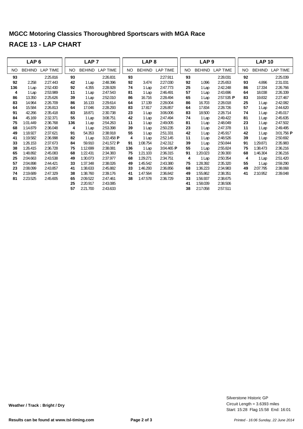|     | LAP <sub>6</sub> |          |     | LAP <sub>7</sub> |                         |     | LAP <sub>8</sub> |                 |           | LAP <sub>9</sub> |                     |     | <b>LAP 10</b> |                 |
|-----|------------------|----------|-----|------------------|-------------------------|-----|------------------|-----------------|-----------|------------------|---------------------|-----|---------------|-----------------|
| NO. | BEHIND           | LAP TIME | NO. | <b>BEHIND</b>    | <b>LAP TIME</b>         | NO. | BEHIND           | <b>LAP TIME</b> | <b>NO</b> | <b>BEHIND</b>    | <b>LAP TIME</b>     | NO. | BEHIND        | <b>LAP TIME</b> |
| 93  |                  | 2:25.816 | 93  |                  | 2:26.831                | 93  |                  | 2:27.911        | 93        |                  | 2:28.031            | 92  |               | 2:25.039        |
| 92  | 2.258            | 2:27.443 | 42  | 1 Lap            | 2:48.396                | 92  | 3.474            | 2:27.030        | 92        | 1.096            | 2:25.653            | 93  | 4.896         | 2:31.031        |
| 136 | 1 Lap            | 2:52.430 | 92  | 4.355            | 2:28.928                | 74  | 1 Lap            | 2:47.773        | 25        | 1 Lap            | 2:42.248            | 86  | 17.334        | 2:26.766        |
| 4   | 1 Lap            | 2:53.989 | 11  | 1 Lap            | 2:47.543                | 81  | 1 Lap            | 2:46.491        | 57        | 1 Lap            | 2:43.696            | 64  | 18.038        | 2:26.339        |
| 86  | 13.350           | 2:25.626 | 39  | 1 Lap            | 2:52.010                | 86  | 16.716           | 2:28.494        | 65        | 1 Lap            | $2:57.535$ <b>P</b> | 83  | 19.832        | 2:27.467        |
| 83  | 14.964           | 2:26.709 | 86  | 16.133           | 2:29.614                | 64  | 17.139           | 2:28.004        | 86        | 16.703           | 2:28.018            | 25  | 1 Lap         | 2:42.082        |
| 64  | 15.584           | 2:26.813 | 64  | 17.046           | 2:28.293                | 83  | 17.817           | 2:26.857        | 64        | 17.834           | 2:28.726            | 57  | 1 Lap         | 2:44.620        |
| 91  | 42.266           | 2:35.418 | 83  | 18.871           | 2:30.738                | 23  | 1 Lap            | 3:06.006        | 83        | 18.500           | 2:28.714            | 74  | 1 Lap         | 2:45.017        |
| 84  | 45.169           | 2:32.371 | 55  | 1 Lap            | 3:08.751                | 42  | 1 Lap            | 2:47.494        | 74        | 1 Lap            | 2:49.422            | 81  | 1 Lap         | 2:45.635        |
| 75  | 1:01.449         | 2:36.768 | 136 | 1 Lap            | 2:54.263                | 11  | 1 Lap            | 2:49.005        | 81        | 1 Lap            | 2:48.049            | 23  | 1 Lap         | 2:47.502        |
| 68  | 1:14.879         | 2:36.048 | 4   | 1 Lap            | 2:53.398                | 39  | 1 Lap            | 2:50.235        | 23        | 1 Lap            | 2:47.378            | 11  | 1 Lap         | 2:49.495        |
| 49  | 1:18.927         | 2:37.621 | 91  | 54.353           | 2:38.918                | 55  | 1 Lap            | 2:51.331        | 42        | 1 Lap            | 2:45.917            | 42  | 1 Lap         | 3:01.756 P      |
| 41  | 1:19.582         | 2:36.998 | 82  | 1 Lap            | 3:22.458 $\blacksquare$ | 4   | 1 Lap            | 2:52.145        | 11        | 1 Lap            | 2:48.526            | 39  | 1 Lap         | 2:50.692        |
| 33  | 1:26.153         | 2:37.673 | 84  | 59.910           | 2:41.572 P              | 91  | 1:08.754         | 2:42.312        | 39        | 1 Lap            | 2:50.844            | 91  | 1:29.871      | 2:35.983        |
| 38  | 1:26.415         | 2:36.728 | 75  | 1:12.699         | 2:38.081                | 136 | 1 Lap            | 3:04.465 P      | 55        | 1 Lap            | 2:55.824            | 75  | 1:38.473      | 2:36.216        |
| 65  | 1:48.892         | 2:45.083 | 68  | 1:22.431         | 2:34.383                | 75  | 1:21.103         | 2:36.315        | 91        | 1:20.023         | 2:39.300            | 68  | 1:46.304      | 2:36.216        |
| 25  | 2:04.663         | 2:43.538 | 49  | 1:30.073         | 2:37.977                | 68  | 1:29.271         | 2:34.751        | 4         | 1 Lap            | 2:50.354            | 4   | 1 Lap         | 2:51.420        |
| 57  | 2:04.898         | 2:44.421 | 33  | 1:37.348         | 2:38.026                | 49  | 1:45.542         | 2:43.380        | 75        | 1:28.392         | 2:35.320            | 55  | 1 Lap         | 2:59.290        |
| 23  | 2:08.099         | 2:43.857 | 41  | 1:38.633         | 2:45.882                | 33  | 1:46.293         | 2:36.856        | 68        | 1:36.223         | 2:34.983            | 49  | 2:07.795      | 2:38.068        |
| 74  | 2:19.689         | 2:47.329 | 38  | 1:38.760         | 2:39.176                | 41  | 1:47.564         | 2:36.842        | 49        | 1:55.862         | 2:38.351            | 41  | 2:10.952      | 2:39.048        |
| 81  | 2:23.525         | 2:45.605 | 65  | 2:09.522         | 2:47.461                | 38  | 1:47.578         | 2:36.729        | 33        | 1:56.937         | 2:38.675            |     |               |                 |
|     |                  |          | 25  | 2:20.917         | 2:43.085                |     |                  |                 | 41        | 1:58.039         | 2:38.506            |     |               |                 |
|     |                  |          | 57  | 2:21.700         | 2:43.633                |     |                  |                 | 38        | 2:17.058         | 2:57.511            |     |               |                 |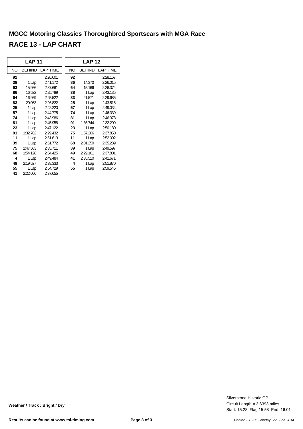|    | <b>LAP 11</b> |                 | <b>LAP 12</b> |               |                 |  |  |  |  |
|----|---------------|-----------------|---------------|---------------|-----------------|--|--|--|--|
| NO | <b>BEHIND</b> | <b>LAP TIME</b> | <b>NO</b>     | <b>BEHIND</b> | <b>LAP TIME</b> |  |  |  |  |
| 92 |               | 2:26.601        | 92            |               | 2:28.167        |  |  |  |  |
| 38 | 1 Lap         | 2:41.172        | 86            | 14.370        | 2:26.015        |  |  |  |  |
| 93 | 15.956        | 2:37.661        | 64            | 15.166        | 2:26.374        |  |  |  |  |
| 86 | 16.522        | 2:25.789        | 38            | 1 Lap         | 2:43.135        |  |  |  |  |
| 64 | 16.959        | 2:25.522        | 83            | 21.571        | 2:29.685        |  |  |  |  |
| 83 | 20.053        | 2:26.822        | 25            | 1 Lap         | 2:43.516        |  |  |  |  |
| 25 | 1 Lap         | 2:42.220        | 57            | 1 Lap         | 2:49.034        |  |  |  |  |
| 57 | 1 Lap         | 2:44.775        | 74            | 1 Lap         | 2:46.339        |  |  |  |  |
| 74 | 1 Lap         | 2:43.986        | 81            | 1 Lap         | 2:46.378        |  |  |  |  |
| 81 | 1 Lap         | 2:45.958        | 91            | 1:36.744      | 2:32.209        |  |  |  |  |
| 23 | 1 Lap         | 2:47.122        | 23            | 1 Lap         | 2:50.180        |  |  |  |  |
| 91 | 1:32.702      | 2:29.432        | 75            | 1:57.266      | 2:37.850        |  |  |  |  |
| 11 | 1 Lap         | 2:51.613        | 11            | 1 Lap         | 2:52.092        |  |  |  |  |
| 39 | 1 Lap         | 2:51.772        | 68            | 2:01.250      | 2:35.289        |  |  |  |  |
| 75 | 1:47.583      | 2:35.711        | 39            | 1 Lap         | 2:49.597        |  |  |  |  |
| 68 | 1:54.128      | 2:34.425        | 49            | 2:29.161      | 2:37.801        |  |  |  |  |
| 4  | 1 Lap         | 2:49.484        | 41            | 2:35.510      | 2:41.671        |  |  |  |  |
| 49 | 2:19.527      | 2:38.333        | 4             | 1 Lap         | 2:51.870        |  |  |  |  |
| 55 | 1 Lap         | 2:54.729        | 55            | 1 Lap         | 2:59.545        |  |  |  |  |
| 41 | 2:22.006      | 2:37.655        |               |               |                 |  |  |  |  |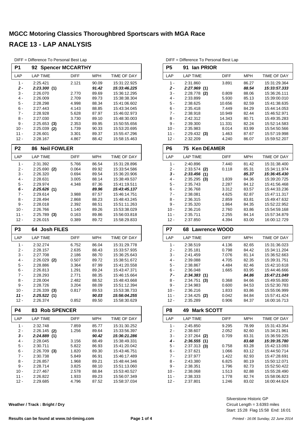| P1               | <b>Spencer MCCARTHY</b><br>92 |                |                |                              |
|------------------|-------------------------------|----------------|----------------|------------------------------|
| LAP              | <b>LAP TIME</b>               | <b>DIFF</b>    | <b>MPH</b>     | TIME OF DAY                  |
| $1 -$            | 2:25.421                      | 2.121          | 90.09          | 15:31:22.925                 |
| $\mathbf{2}$ -   | 2:23.300(1)                   |                | 91.42          | 15:33:46.225                 |
| 3 -              | 2:26.070                      | 2.770          | 89.69          | 15:36:12.295                 |
| $4 -$            | 2:26.009                      | 2.709          | 89.73          | 15:38:38.304                 |
| 5 -              | 2:28.298                      | 4.998          | 88.34          | 15:41:06.602                 |
| 6 -              | 2:27.443                      | 4.143          | 88.85          | 15:43:34.045                 |
| $7 -$            | 2:28.928                      | 5.628          | 87.97          | 15:46:02.973                 |
| 8 -              | 2:27.030                      | 3.730          | 89.10          | 15:48:30.003                 |
| 9 -              | 2:25.653<br>(3)               | 2.353          | 89.95          | 15:50:55.656<br>15:53:20.695 |
| 10 -<br>$11 -$   | 2:25.039<br>(2)<br>2:26.601   | 1.739<br>3.301 | 90.33<br>89.37 | 15:55:47.296                 |
| 12 -             | 2:28.167                      | 4.867          | 88.42          | 15:58:15.463                 |
|                  |                               |                |                |                              |
| P <sub>2</sub>   | <b>Neil FOWLER</b><br>86      |                |                |                              |
| LAP              | <b>LAP TIME</b>               | <b>DIFF</b>    | <b>MPH</b>     | TIME OF DAY                  |
| $1 -$            | 2:31.392                      | 5.766          | 86.54          | 15:31:28.896                 |
| 2 -              | $2:25.690$ (2)                | 0.064          | 89.92          | 15:33:54.586                 |
| 3 -              | 2:26.320                      | 0.694          | 89.54          | 15:36:20.906                 |
| $4 -$            | 2:28.631                      | 3.005          | 88.14          | 15:38:49.537                 |
| 5 -              | 2:29.974                      | 4.348          | 87.36          | 15:41:19.511                 |
| 6 -              | 2:25.626(1)                   |                | 89.96          | 15:43:45.137                 |
| 7 -              | 2:29.614                      | 3.988          | 87.57          | 15:46:14.751                 |
| 8 -<br>9 -       | 2:28.494<br>2:28.018          | 2.868<br>2.392 | 88.23<br>88.51 | 15:48:43.245<br>15:51:11.263 |
| $10 -$           | 2:26.766                      | 1.140          | 89.26          | 15:53:38.029                 |
| 11 -             | $2:25.789$ (3)                | 0.163          | 89.86          | 15:56:03.818                 |
| $12 -$           | 2:26.015                      | 0.389          | 89.72          | 15:58:29.833                 |
|                  |                               |                |                |                              |
| P <sub>3</sub>   | <b>Josh FILES</b><br>64.      |                |                |                              |
| LAP              | <b>LAP TIME</b>               | <b>DIFF</b>    | MPH            | TIME OF DAY                  |
|                  |                               | 6.752          | 86.04          | 15:31:29.778                 |
| $1 -$            | 2:32.274                      |                |                |                              |
| 2 -              | 2:28.157                      | 2.635          | 88.43          | 15:33:57.935                 |
| 3 -              | 2:27.708                      | 2.186          | 88.70          | 15:36:25.643                 |
| $4 -$            | $2:26.029$ (2)                | 0.507          | 89.72          | 15:38:51.672                 |
| 5 -              | 2:28.886                      | 3.364          | 87.99          | 15:41:20.558                 |
| 6 -              | 2:26.813                      | 1.291          | 89.24          | 15:43:47.371                 |
| 7 -              | 2:28.293                      | 2.771          | 88.35          | 15:46:15.664                 |
| 8 -              | 2:28.004                      | 2.482          | 88.52          | 15:48:43.668                 |
| 9 -              | 2:28.726                      | 3.204          | 88.09          | 15:51:12.394                 |
| $10 -$           | $2:26.339$ (3)                | 0.817          | 89.53          | 15:53:38.733                 |
| 11 -             | 2:25.522(1)                   |                | 90.03          | 15:56:04.255                 |
| $12 -$           | 2:26.374                      | 0.852          | 89.50          | 15:58:30.629                 |
| <b>P4</b>        | 83<br><b>Rob SPENCER</b>      |                |                |                              |
| LAP              | <b>LAP TIME</b>               | DIFF           | <b>MPH</b>     | TIME OF DAY                  |
| 1 -              | 2:32.748                      | 7.859          | 85.77          | 15:31:30.252                 |
| 2 -              | $2:26.145$ (2)                | 1.256          | 89.64          | 15:33:56.397                 |
| $3 -$            | 2:24.889(1)                   |                | 90.42          | 15:36:21.286                 |
| 4 -              | 2:28.045                      | 3.156          | 88.49          | 15:38:49.331                 |
| 5 -              | 2:30.711                      | 5.822          | 86.93          | 15:41:20.042                 |
| 6 -              | 2:26.709 (3)                  | 1.820          | 89.30          | 15:43:46.751                 |
| $7 -$            | 2:30.738                      | 5.849          | 86.91          | 15:46:17.489                 |
| 8 -              | 2:26.857                      | 1.968          | 89.21          | 15:48:44.346                 |
| 9 -              | 2:28.714                      | 3.825          | 88.10          | 15:51:13.060                 |
| $10 -$           | 2:27.467                      | 2.578          | 88.84          | 15:53:40.527                 |
| $11 -$<br>$12 -$ | 2:26.822<br>2:29.685          | 1.933<br>4.796 | 89.23<br>87.52 | 15:56:07.349<br>15:58:37.034 |

DIFF = Difference To Personal Best Lap

DIFF = Difference To Personal Best Lap

| DIFF = Difference To Personal Best Lap |                            |                |                |                              |
|----------------------------------------|----------------------------|----------------|----------------|------------------------------|
| P <sub>5</sub>                         | 91<br>lan PRIOR            |                |                |                              |
| LAP                                    | <b>LAP TIME</b>            | <b>DIFF</b>    | <b>MPH</b>     | TIME OF DAY                  |
| $1 -$                                  | 2:31.860                   | 3.891          | 86.27          | 15:31:29.364                 |
| 2 -                                    | 2:27.969 (1)               |                | 88.54          | 15:33:57.333                 |
| 3 -                                    | 2:28.778<br>(2)            | 0.809          | 88.06          | 15:36:26.111                 |
| $4 -$                                  | 2:33.899                   | 5.930          | 85.13          | 15:39:00.010                 |
| 5 -                                    | 2:38.625                   | 10.656         | 82.59          | 15:41:38.635                 |
| $6 -$                                  | 2:35.418                   | 7.449          | 84.29          | 15:44:14.053                 |
| $7 -$                                  | 2:38.918                   | 10.949         | 82.44          | 15:46:52.971                 |
| 8 -                                    | 2:42.312                   | 14.343         | 80.71          | 15:49:35.283                 |
| 9 -                                    | 2:39.300                   | 11.331         | 82.24          | 15:52:14.583                 |
| $10 -$                                 | 2:35.983                   | 8.014          | 83.99          | 15:54:50.566                 |
| $11 -$                                 | 2:29.432(3)                | 1.463          | 87.67          | 15:57:19.998                 |
| $12 -$                                 | 2:32.209                   | 4.240          | 86.07          | 15:59:52.207                 |
| P6                                     | <b>Ken DEAMER</b><br>75    |                |                |                              |
| LAP                                    | <b>LAP TIME</b>            | <b>DIFF</b>    | <b>MPH</b>     | <b>TIME OF DAY</b>           |
| $1 -$                                  | 2:40.896                   | 7.440          | 81.42          | 15:31:38.400                 |
| 2 -                                    | 2:33.574<br>(2)            | 0.118          | 85.31          | 15:34:11.974                 |
| 3 -                                    | 2:33.456<br>(1)            |                | 85.37          | 15:36:45.430                 |
| $4 -$                                  | 2:35.295<br>(3)            | 1.839          | 84.36          | 15:39:20.725                 |
| 5 -                                    | 2:35.743                   | 2.287          | 84.12          | 15:41:56.468                 |
| $6 -$                                  | 2:36.768                   | 3.312          | 83.57          | 15:44:33.236                 |
| 7 -                                    | 2:38.081                   | 4.625          | 82.87          | 15:47:11.317                 |
| 8 -                                    | 2:36.315                   | 2.859          | 83.81          | 15:49:47.632                 |
| 9 -                                    | 2:35.320                   | 1.864          | 84.35          | 15:52:22.952                 |
| $10 -$                                 | 2:36.216                   | 2.760          | 83.86          | 15:54:59.168                 |
| $11 -$                                 | 2:35.711                   | 2.255          | 84.14          | 15:57:34.879                 |
| $12 -$                                 | 2:37.850                   | 4.394          | 83.00          | 16:00:12.729                 |
| P7                                     | <b>Lawrence WOOD</b><br>68 |                |                |                              |
|                                        |                            |                |                |                              |
| LAP                                    | <b>LAP TIME</b>            | <b>DIFF</b>    | <b>MPH</b>     | TIME OF DAY                  |
| $1 -$                                  |                            |                |                |                              |
|                                        | 2:38.519                   | 4.136          | 82.65          | 15:31:36.023                 |
| $2 -$                                  | 2:35.181                   | 0.798          | 84.42          | 15:34:11.204                 |
| $3 -$                                  | 2:41.459                   | 7.076          | 81.14          | 15:36:52.663                 |
| 4 -                                    | 2:39.088                   | 4.705          | 82.35          | 15:39:31.751                 |
| 5 -<br>6 -                             | 2:38.867<br>2:36.048       | 4.484<br>1.665 | 82.46<br>83.95 | 15:42:10.618<br>15:44:46.666 |
| 7 -                                    | 2:34.383                   |                | 84.86          | 15:47:21.049                 |
| 8 -                                    | (1)<br>2:34.751<br>(3)     | 0.368          | 84.66          | 15:49:55.800                 |
| 9 -                                    | 2:34.983                   | 0.600          | 84.53          | 15:52:30.783                 |
| 10 -                                   | 2:36.216                   | 1.833          | 83.86          | 15:55:06.999                 |
| 11 -                                   |                            |                |                | 15:57:41.424                 |
| $12 -$                                 | $2:34.425$ (2)<br>2:35.289 | 0.042<br>0.906 | 84.84<br>84.37 | 16:00:16.713                 |
| P8                                     | <b>Mark SCOTT</b><br>49    |                |                |                              |
| LAP                                    | <b>LAP TIME</b>            | DIFF           | <b>MPH</b>     | TIME OF DAY                  |
| $1 -$                                  | 2:45.850                   | 9.295          | 78.99          | 15:31:43.354                 |
| 2 -                                    | 2:38.607                   | 2.052          | 82.60          | 15:34:21.961                 |
| $3 -$                                  | 2:37.264<br>(2)            | 0.709          | 83.31          | 15:36:59.225                 |
| 4 -                                    | 2:36.555<br>(1)            |                | 83.68          | 15:39:35.780                 |
| 5 -                                    | 2:37.313<br>(3)            | 0.758          | 83.28          | 15:42:13.093                 |
| $6 -$                                  | 2:37.621                   | 1.066          | 83.12          | 15:44:50.714                 |
| $7 -$                                  | 2:37.977                   | 1.422          | 82.93          | 15:47:28.691                 |
| 8 -                                    | 2:43.380                   | 6.825          | 80.19          | 15:50:12.071                 |
| 9 -                                    | 2:38.351                   | 1.796          | 82.73          | 15:52:50.422                 |
| 10 -                                   | 2:38.068                   | 1.513          | 82.88          | 15:55:28.490                 |
| 11 -                                   | 2:38.333                   | 1.778          | 82.74          | 15:58:06.823                 |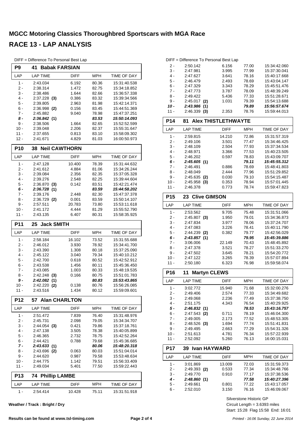| P <sub>9</sub> | <b>Babak FARSIAN</b><br>41     |             |                |                              |
|----------------|--------------------------------|-------------|----------------|------------------------------|
| LAP            | <b>LAP TIME</b>                | <b>DIFF</b> | <b>MPH</b>     | TIME OF DAY                  |
| $1 -$          | 2:43.034                       | 6.192       | 80.36          | 15:31:40.538                 |
| 2 -            | 2:38.314                       | 1.472       | 82.75          | 15:34:18.852                 |
| $3 -$          | 2:38.486                       | 1.644       | 82.66          | 15:36:57.338                 |
| 4 -            | $2:37.228$ (3)                 | 0.386       | 83.32          | 15:39:34.566                 |
| 5 -            | 2:39.805                       | 2.963       | 81.98          | 15:42:14.371                 |
| 6 -            | $2:36.998$ (2)                 | 0.156       | 83.45          | 15:44:51.369                 |
| 7 -            | 2:45.882                       | 9.040       | 78.98          | 15:47:37.251                 |
| 8 -            | 2:36.842(1)                    |             | 83.53          | 15:50:14.093                 |
| $9 -$          | 2:38.506                       | 1.664       | 82.65          | 15:52:52.599                 |
| 10 -           | 2:39.048                       | 2.206       | 82.37          | 15:55:31.647                 |
| 11 -           | 2:37.655                       | 0.813       | 83.10          | 15:58:09.302                 |
| 12 -           | 2:41.671                       | 4.829       | 81.03          | 16:00:50.973                 |
| <b>P10</b>     | <b>Neil CAWTHORN</b><br>38     |             |                |                              |
| LAP            | <b>LAP TIME</b>                | DIFF        | <b>MPH</b>     | TIME OF DAY                  |
| 1 -            | 2:47.128                       | 10.400      | 78.39          | 15:31:44.632                 |
| $2 -$          | 2:41.612                       | 4.884       | 81.06          | 15:34:26.244                 |
| 3 -            | 2:39.084                       | 2.356       | 82.35          | 15:37:05.328                 |
| 4 -            | 2:39.276                       | 2.548       | 82.25          | 15:39:44.604                 |
| 5 -            | $2:36.870$ (3)                 | 0.142       | 83.51          | 15:42:21.474                 |
| 6 -            | 2:36.728<br>(1)                |             | 83.59          | 15:44:58.202                 |
| 7 -            | 2:39.176                       | 2.448       | 82.30          | 15:47:37.378                 |
| 8 -            | $2:36.729$ (2)                 | 0.001       | 83.59          | 15:50:14.107                 |
| 9 -            | 2:57.511                       | 20.783      | 73.80          | 15:53:11.618                 |
| $10 -$         | 2:41.172                       | 4.444       | 81.29          | 15:55:52.790                 |
| $11 -$         | 2:43.135                       | 6.407       | 80.31          | 15:58:35.925                 |
| P11            | <b>Jack SMITH</b><br>25        |             |                |                              |
| LAP            | <b>LAP TIME</b>                | DIFF        | <b>MPH</b>     | TIME OF DAY                  |
| 1 -            | 2:58.184                       | 16.102      | 73.52          | 15:31:55.688                 |
| 2 -            | 2:46.012                       | 3.930       | 78.92          | 15:34:41.700                 |
| 3 -            | 2:43.390                       | 1.308       | 80.18          | 15:37:25.090                 |
| 4 -            | 2:45.122                       | 3.040       | 79.34          | 15:40:10.212                 |
| 5 -            | 2:42.700                       | 0.618       | 80.52          | 15:42:52.912                 |
| 6 -            | 2:43.538                       | 1.456       | 80.11          | 15:45:36.450                 |
| 7 -            | 2:43.085                       | 1.003       | 80.33          | 15:48:19.535                 |
| 8 -<br>$9-$    | 2:42.248<br>(3)<br>2:42.082(1) | 0.166       | 80.75          | 15:51:01.783                 |
| 10 -           | 2:42.220 (2)                   | 0.138       | 80.83<br>80.76 | 15:53:43.865<br>15:56:26.085 |
| $11 -$         | 2:43.516                       | 1.434       | 80.12          | 15:59:09.601                 |
|                |                                |             |                |                              |
| <b>P12</b>     | 57<br><b>Alan CHARLTON</b>     |             |                |                              |
| LAP            | <b>LAP TIME</b>                | <b>DIFF</b> | MPH            | TIME OF DAY                  |
| $1 -$          | 2:51.472                       | 7.839       | 76.40          | 15:31:48.976                 |
| 2 -            | 2:45.731                       | 2.098       | 79.05          | 15:34:34.707                 |
| $3 -$          | $2:44.054$ (3)                 | 0.421       | 79.86          | 15:37:18.761                 |
| 4 -            | 2:47.138                       | 3.505       | 78.38          | 15:40:05.899                 |
| 5 -            | 2:46.365<br>2:44.421           | 2.732       | 78.75          | 15:42:52.264                 |
| 6 -<br>7 -     | 2:43.633(1)                    | 0.788       | 79.68<br>80.06 | 15:45:36.685<br>15:48:20.318 |
| 8 -            | 2:43.696 (2)                   | 0.063       | 80.03          | 15:51:04.014                 |
| 9 -            | 2:44.620                       | 0.987       | 79.58          | 15:53:48.634                 |
| $10 -$         | 2:44.775                       | 1.142       | 79.51          | 15:56:33.409                 |
| 11 -           | 2:49.034                       | 5.401       | 77.50          | 15:59:22.443                 |
| <b>P13</b>     | <b>Phillip LAMBE</b><br>74     |             |                |                              |
|                |                                |             |                |                              |
| LAP            | <b>LAP TIME</b>                | <b>DIFF</b> | <b>MPH</b>     | TIME OF DAY                  |
| 1 -            | 2:54.414                       | 10.428      | 75.11          | 15:31:51.918                 |

DIFF = Difference To Personal Best Lap

**Weather / Track : Bright / Dry**

|       | DIFF = Difference To Personal Best Lap |       |       |              |
|-------|----------------------------------------|-------|-------|--------------|
| 2 -   | 2:50.142                               | 6.156 | 77.00 | 15:34:42.060 |
| 3 -   | 2:47.981                               | 3.995 | 77.99 | 15:37:30.041 |
| $4 -$ | 2:47.627                               | 3.641 | 78.16 | 15:40:17.668 |
| 5 -   | 2:46.479                               | 2.493 | 78.69 | 15:43:04.147 |
| $6 -$ | 2:47.329                               | 3.343 | 78.29 | 15:45:51.476 |
| $7 -$ | 2:47.773                               | 3.787 | 78.09 | 15:48:39.249 |
| 8 -   | 2:49.422                               | 5.436 | 77.33 | 15:51:28.671 |
| 9 -   | 2:45.017<br>(2)                        | 1.031 | 79.39 | 15.54.13.688 |
| 10 -  | 2:43.986<br>(1)                        |       | 79.89 | 15:56:57.674 |
| 11 -  | 2:46.339<br>(3)                        | 2.353 | 78.76 | 15:59:44.013 |
|       |                                        |       |       |              |

| P14             | <b>81 Alex THISTLETHWAYTE</b> |             |            |                    |
|-----------------|-------------------------------|-------------|------------|--------------------|
| LAP             | <b>LAP TIME</b>               | <b>DIFF</b> | <b>MPH</b> | <b>TIME OF DAY</b> |
| $1 -$           | 2:59.815                      | 14.210      | 72.86      | 15:31:57.319       |
| $2 -$           | 2:49.106                      | 3.501       | 77.47      | 15:34:46.425       |
| $3 -$           | 2:48.109                      | 2.504       | 77.93      | 15:37:34.534       |
| 4 -             | 2:48.971                      | 3.366       | 77.53      | 15:40:23.505       |
| $5 -$           | 2:46.202                      | 0.597       | 78.83      | 15:43:09.707       |
| $6 -$           | 2:45.605(1)                   |             | 79.11      | 15:45:55.312       |
| $7 -$           | 2:46.491                      | 0.886       | 78.69      | 15:48:41.803       |
| $8 -$           | 2:48.049                      | 2.444       | 77.96      | 15:51:29.852       |
| $9 -$           | 2:45.635<br>(2)               | 0.030       | 79.10      | 15:54:15.487       |
| $10 -$          | 2:45.958<br>(3)               | 0.353       | 78.94      | 15:57:01.445       |
| $11 -$          | 2:46.378                      | 0.773       | 78.74      | 15:59:47.823       |
| <b>P15</b>      | 23 Clive GIMSON               |             |            |                    |
| LAP             | <b>LAP TIME</b>               | <b>DIFF</b> | <b>MPH</b> | <b>TIME OF DAY</b> |
| 1 -             | 2:53.562                      | 9.705       | 75.48      | 15:31:51.066       |
| $2 -$           | $2:45.807$ (3)                | 1.950       | 79.01      | 15:34:36.873       |
| $3 -$           | 2:47.834                      | 3.977       | 78.06      | 15:37:24.707       |
| $4 -$           | 2:47.083                      | 3.226       | 78.41      | 15:40:11.790       |
| $5 -$           | 2:44.239<br>(2)               | 0.382       | 79.77      | 15:42:56.029       |
| $6 -$           | 2:43.857(1)                   |             | 79.95      | 15:45:39.886       |
| $7 -$           | 3:06.006                      | 22.149      | 70.43      | 15:48:45.892       |
| 8 -             | 2:47.378                      | 3.521       | 78.27      | 15:51:33.270       |
| $9 -$           | 2:47.502                      | 3.645       | 78.21      | 15:54:20.772       |
| $10 -$          | 2:47.122                      | 3.265       | 78.39      | 15:57:07.894       |
| $11 -$          | 2:50.180                      | 6.323       | 76.98      | 15:59:58.074       |
| P <sub>16</sub> | 11<br><b>Martyn CLEWS</b>     |             |            |                    |

| P16                           | 11<br><b>Martyn CLEWS</b> |             |            |              |
|-------------------------------|---------------------------|-------------|------------|--------------|
| LAP                           | <b>LAP TIME</b>           | <b>DIFF</b> | <b>MPH</b> | TIME OF DAY  |
| 1 -                           | 3:02.772                  | 15.940      | 71.68      | 15:32:00.276 |
| $2 -$                         | 2:49.406                  | 2.574       | 77.33      | 15:34:49.682 |
| $3 -$                         | 2:49.068                  | 2.236       | 77.49      | 15:37:38.750 |
| $4 -$                         | 2:51.175                  | 4.343       | 76.54      | 15:40:29.925 |
| 5 -                           | 2:46.832(1)               |             | 78.53      | 15:43:16.757 |
| $6 -$                         | 2:47.543<br>(2)           | 0.711       | 78.19      | 15:46:04.300 |
| $7 -$                         | 2:49.005                  | 2.173       | 77.52      | 15:48:53.305 |
| 8 -                           | $2:48.526$ (3)            | 1.694       | 77.74      | 15.51.41.831 |
| 9 -                           | 2:49.495                  | 2.663       | 77.29      | 15:54:31.326 |
| $10 -$                        | 2:51.613                  | 4.781       | 76.34      | 15:57:22.939 |
| $11 -$                        | 2:52.092                  | 5.260       | 76.13      | 16:00:15.031 |
| <b>P17</b>                    | <b>Ivan HAYWARD</b><br>39 |             |            |              |
| LAP                           | <b>LAP TIME</b>           | <b>DIFF</b> | <b>MPH</b> | TIME OF DAY  |
| 1<br>$\overline{\phantom{a}}$ | 3.01.869                  | 13.009      | 72.03      | 15:31:59.373 |

| I AP  | LAP TIME       | <b>DIFF</b> | <b>MPH</b> | TIME OF DAY  |
|-------|----------------|-------------|------------|--------------|
| 1 -   | 3:01.869       | 13.009      | 72.03      | 15:31:59.373 |
| $2 -$ | $2:49.393$ (2) | 0.533       | 77.34      | 15:34:48.766 |
| 3 -   | 2:49.770       | 0.910       | 77.17      | 15:37:38.536 |
| 4 -   | 2:48.860(1)    |             | 77.58      | 15:40:27.396 |
| 5 -   | 2:49.661       | 0.801       | 77.22      | 15:43:17.057 |
| ჩ -   | 2:52.010       | 3.150       | 76.16      | 15:46:09.067 |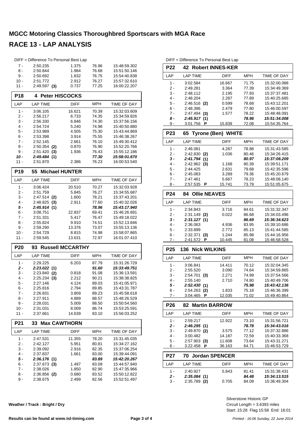|                 | DIFF = Difference To Personal Best Lap |                         |                |                              |
|-----------------|----------------------------------------|-------------------------|----------------|------------------------------|
| $7 -$           | 2:50.235                               | 1.375                   | 76.96          | 15:48:59.302                 |
| 8 -             | 2:50.844                               | 1.984                   | 76.68          | 15:51:50.146                 |
| 9 -             | 2:50.692                               | 1.832                   | 76.75          | 15:54:40.838                 |
| 10 -            | 2:51.772                               | 2.912                   | 76.27          | 15:57:32.610                 |
| 11 -            | $2:49.597$ (3)                         | 0.737                   | 77.25          | 16:00:22.207                 |
| <b>P18</b>      | <b>Peter HISCOCKS</b><br>4             |                         |                |                              |
| LAP             | <b>LAP TIME</b>                        | DIFF                    | <b>MPH</b>     | TIME OF DAY                  |
| $1 -$           | 3:06.105                               | 16.621                  | 70.39          | 15:32:03.609                 |
| 2 -             | 2:56.217                               | 6.733                   | 74.35          | 15:34:59.826                 |
| $3 -$           | 2:56.330                               | 6.846                   | 74.30          | 15:37:56.156                 |
| 4 -             | 2.54.724                               | 5.240                   | 74.98          | 15:40:50.880                 |
| 5 -             | 2:53.989                               | 4.505                   | 75.30          | 15:43:44.869                 |
| 6 -<br>$7 -$    | 2:53.398<br>2:52.145                   | 3.914<br>2.661          | 75.55<br>76.10 | 15:46:38.267<br>15:49:30.412 |
| 8 -             | $2:50.354$ (2)                         | 0.870                   | 76.90          | 15:52:20.766                 |
| 9 -             | 2:51.420(3)                            | 1.936                   | 76.43          | 15:55:12.186                 |
| 10 -            | 2:49.484(1)                            |                         | 77.30          | 15:58:01.670                 |
| 11 -            | 2:51.870                               | 2.386                   | 76.23          | 16:00:53.540                 |
| P <sub>19</sub> | 55 Michael HUNTER                      |                         |                |                              |
| LAP             | <b>LAP TIME</b>                        | <b>DIFF</b>             | <b>MPH</b>     | <b>TIME OF DAY</b>           |
| 1 -             | 3:06.424                               | 20.510                  | 70.27          | 15:32:03.928                 |
| 2 -             | 2:51.759                               | 5.845                   | 76.27          | 15:34:55.687                 |
| 3 -             | $2:47.514$ (2)                         | 1.600                   | 78.21          | 15:37:43.201                 |
| 4 -             | 2:48.825<br>(3)                        | 2.911                   | 77.60          | 15:40:32.026                 |
| 5 -             | 2:45.914 (1)                           |                         | 78.96          | 15:43:17.940                 |
| 6 -<br>7 -      | 3:08.751<br>2:51.331                   | 22.837<br>5.417         | 69.41<br>76.47 | 15:46:26.691<br>15:49:18.022 |
| 8 -             | 2:55.824                               | 9.910                   | 74.51          | 15:52:13.846                 |
| 9 -             | 2:59.290                               | 13.376                  | 73.07          | 15:55:13.136                 |
| 10 -            | 2:54.729                               | 8.815                   | 74.98          | 15:58:07.865                 |
| 11 -            | 2.59.545                               | 13.631                  | 72.97          | 16:01:07.410                 |
| <b>P20</b>      | 93                                     | <b>Russell MCCARTHY</b> |                |                              |
| LAP             | LAP TIME                               | <b>DIFF</b>             | MPH            | TIME OF DAY                  |
| 1 -             | 2:29.225                               | 6.203                   | 87.79          | 15:31:26.729                 |
| $2 -$           | 2:23.022(1)                            |                         | 91.60          | 15:33:49.751                 |
| 3 -             | $2:23.840$ (2)                         | 0.818                   | 91.08          | 15:36:13.591                 |
| 4 -             | $2:25.234$ (3)                         | 2.212                   | 90.21          | 15:38:38.825                 |
| 5 -             | 2:27.146                               | 4.124                   | 89.03          | 15:41:05.971                 |
| 6 -             | 2:25.816                               | 2.794                   | 89.85          | 15:43:31.787                 |
| $7 -$           | 2:26.831                               | 3.809                   | 89.23          | 15:45:58.618                 |
| $8 -$           | 2:27.911                               | 4.889                   | 88.57          | 15:48:26.529                 |
| $9 -$<br>$10 -$ | 2:28.031                               | 5.009<br>8.009          | 88.50          | 15:50:54.560                 |
| 11 -            | 2:31.031<br>2:37.661                   | 14.639                  | 86.74<br>83.10 | 15:53:25.591<br>15:56:03.252 |
| P21             | <b>Max CAWTHORN</b><br>33              |                         |                |                              |
| LAP             | <b>LAP TIME</b>                        | <b>DIFF</b>             | <b>MPH</b>     | TIME OF DAY                  |
| 1 -             | 2:47.531                               | 11.355                  | 78.20          | 15:31:45.035                 |
| 2 -             | 2:42.127                               | 5.951                   | 80.81          | 15:34:27.162                 |
| 3 -             | 2:39.092                               | 2.916                   | 82.35          | 15:37:06.254                 |
| 4 -             | 2:37.837                               | 1.661                   | 83.00          | 15:39:44.091                 |
| 5 -             | 2:36.176(1)                            |                         | 83.89          | 15:42:20.267                 |
| 6 -             | $2:37.673$ (3)                         | 1.497                   | 83.09          | 15:44:57.940                 |
| $7 -$           | 2:38.026                               | 1.850                   | 82.90          | 15:47:35.966                 |
|                 |                                        |                         |                |                              |
| 8 -<br>9 -      | $2:36.856$ (2)<br>2:38.675             | 0.680<br>2.499          | 83.52<br>82.56 | 15:50:12.822<br>15:52:51.497 |

DIFF - Difference To Personal Best La

| <b>P22</b>      |                                   | <b>42 Robert INNES-KER</b> |                |                                                                                                                                                                                                                                                                                                                                                                         |
|-----------------|-----------------------------------|----------------------------|----------------|-------------------------------------------------------------------------------------------------------------------------------------------------------------------------------------------------------------------------------------------------------------------------------------------------------------------------------------------------------------------------|
| LAP             | <b>LAP TIME</b>                   | <b>DIFF</b>                | MPH            | TIME OF DAY                                                                                                                                                                                                                                                                                                                                                             |
| 1 -             | 3:02.584                          | 16.667                     | 71.75          | 15:32:00.088                                                                                                                                                                                                                                                                                                                                                            |
| $2 -$           | 2:49.281                          | 3.364                      | 77.39          | 15:34:49.369                                                                                                                                                                                                                                                                                                                                                            |
| $3 -$           | 2:48.112                          | 2.195                      | 77.93          | 15:37:37.481                                                                                                                                                                                                                                                                                                                                                            |
| $4 -$           | 2:48.204                          | 2.287                      | 77.89          | 15:40:25.685                                                                                                                                                                                                                                                                                                                                                            |
| 5 -             | 2:46.516 (2)                      | 0.599                      | 78.68          | 15:43:12.201                                                                                                                                                                                                                                                                                                                                                            |
| $6 -$           | 2:48.396                          | 2.479                      | 77.80          | 15:46:00.597                                                                                                                                                                                                                                                                                                                                                            |
| 7 -             | $2:47.494$ (3)                    | 1.577                      | 78.22          | 15:48:48.091                                                                                                                                                                                                                                                                                                                                                            |
| 8 -             | 2:45.917(1)                       |                            | 78.96          | 15:51:34.008                                                                                                                                                                                                                                                                                                                                                            |
| 9 -             | 3:01.756<br>Р                     | 15.839                     | 72.08          | 15:54:35.764                                                                                                                                                                                                                                                                                                                                                            |
| P <sub>23</sub> | 65                                | <b>Tyrone (Ben) WHITE</b>  |                |                                                                                                                                                                                                                                                                                                                                                                         |
| LAP             | <b>LAP TIME</b>                   | <b>DIFF</b>                | MPH            | TIME OF DAY                                                                                                                                                                                                                                                                                                                                                             |
| $1 -$           | 2:46.081                          | 4.287                      | 78.88          | 15:31:43.585                                                                                                                                                                                                                                                                                                                                                            |
| $2 -$           | $2:42.830$ (2)                    | 1.036                      | 80.46          | 15:34:26.415                                                                                                                                                                                                                                                                                                                                                            |
| 3 -             | 2:41.794(1)                       |                            | 80.97          | 15:37:08.209                                                                                                                                                                                                                                                                                                                                                            |
| $4 -$           | $2:42.962$ (3)                    | 1.168                      | 80.39          | 15:39:51.171                                                                                                                                                                                                                                                                                                                                                            |
| 5 -             | 2:44.425                          | 2.631                      | 79.68          | 15:42:35.596                                                                                                                                                                                                                                                                                                                                                            |
| $6 -$           | 2:45.083                          | 3.289                      | 79.36          | 15:45:20.679                                                                                                                                                                                                                                                                                                                                                            |
| $7 -$           | 2:47.461                          | 5.667                      | 78.23          | 15:48:08.140                                                                                                                                                                                                                                                                                                                                                            |
| 8 -             | 2:57.535<br>Ρ                     | 15.741                     | 73.79          | 15:51:05.675                                                                                                                                                                                                                                                                                                                                                            |
| <b>P24</b>      | 84                                | <b>Ollie NEAVES</b>        |                |                                                                                                                                                                                                                                                                                                                                                                         |
| LAP             | <b>LAP TIME</b>                   | DIFF                       | MPH            | TIME OF DAY                                                                                                                                                                                                                                                                                                                                                             |
| 1 -             | 2:34.843                          | 3.716                      | 84.61          | 15:31:32.347                                                                                                                                                                                                                                                                                                                                                            |
|                 |                                   |                            |                |                                                                                                                                                                                                                                                                                                                                                                         |
| $2 -$           | 2:31.149 (2)                      | 0.022                      | 86.68          |                                                                                                                                                                                                                                                                                                                                                                         |
| 3 -             | 2:31.127(1)                       |                            | 86.69          |                                                                                                                                                                                                                                                                                                                                                                         |
| 4 -             | 2:36.063                          | 4.936                      | 83.95          |                                                                                                                                                                                                                                                                                                                                                                         |
| 5 -             | 2:33.899                          | 2.772                      | 85.13          |                                                                                                                                                                                                                                                                                                                                                                         |
| 6 -             | 2:32.371<br>(3)                   | 1.244                      | 85.98          |                                                                                                                                                                                                                                                                                                                                                                         |
| 7 -             | 2:41.572<br>Р                     | 10.445                     | 81.08          |                                                                                                                                                                                                                                                                                                                                                                         |
| P <sub>25</sub> | 136                               | <b>Nick WILKINS</b>        |                |                                                                                                                                                                                                                                                                                                                                                                         |
| LAP             | <b>LAP TIME</b>                   | <b>DIFF</b>                | <b>MPH</b>     |                                                                                                                                                                                                                                                                                                                                                                         |
| 1 -             | 3:06.841                          | 14.411                     | 70.12          |                                                                                                                                                                                                                                                                                                                                                                         |
| $2 -$           | 2:55.520                          | 3.090                      | 74.64          |                                                                                                                                                                                                                                                                                                                                                                         |
| 3 -             | 2:54.701<br>(3)                   | 2.271                      | 74.99          |                                                                                                                                                                                                                                                                                                                                                                         |
| 4 -             | 2:55.140                          | 2.710                      | 74.80          |                                                                                                                                                                                                                                                                                                                                                                         |
| 5 -             | 2:52.430(1)                       |                            | 75.98          |                                                                                                                                                                                                                                                                                                                                                                         |
| 6 -<br>7 -      | 2:54.263 (2)<br>3:04.465 <b>P</b> | 1.833<br>12.035            | 75.18<br>71.02 |                                                                                                                                                                                                                                                                                                                                                                         |
| <b>P26</b>      | 82.                               | <b>Martin BARROW</b>       |                |                                                                                                                                                                                                                                                                                                                                                                         |
| LAP             | LAP TIME                          | DIFF                       | MPH            |                                                                                                                                                                                                                                                                                                                                                                         |
| 1 -             | 2.59.217                          | 12.922                     | 73.10          | 15:31:56.721                                                                                                                                                                                                                                                                                                                                                            |
| 2 -             | 2:46.295(1)                       |                            | 78.78          |                                                                                                                                                                                                                                                                                                                                                                         |
| 3 -             | 2:49.870 (2)                      | 3.575                      | 77.12          |                                                                                                                                                                                                                                                                                                                                                                         |
| 4 -             | 3:00.482                          | 14.187                     | 72.59          |                                                                                                                                                                                                                                                                                                                                                                         |
| 5 -             | 2:57.903 (3)                      | 11.608                     | 73.64          | 15:43:31.271                                                                                                                                                                                                                                                                                                                                                            |
| 6 -             | 3:22.458<br>P                     | 36.163                     | <u>64.71</u>   |                                                                                                                                                                                                                                                                                                                                                                         |
| P27             | 70                                | <b>Jordan SPENCER</b>      |                |                                                                                                                                                                                                                                                                                                                                                                         |
| LAP             | <b>LAP TIME</b>                   | <b>DIFF</b>                | MPH            |                                                                                                                                                                                                                                                                                                                                                                         |
| 1 -             | 2:40.927                          | 5.843                      | 81.41          | 15:31:38.431                                                                                                                                                                                                                                                                                                                                                            |
| $2 -$<br>3 -    | 2:35.084(1)<br>$2:35.789$ (2)     | 0.705                      | 84.48<br>84.09 | 15:34:03.496<br>15:36:34.623<br>15:39:10.686<br>15:41:44.585<br>15:44:16.956<br>15:46:58.528<br><b>TIME OF DAY</b><br>15:32:04.345<br>15:34:59.865<br>15:37:54.566<br>15:40:49.706<br>15:43:42.136<br>15:46:36.399<br>15:49:40.864<br>TIME OF DAY<br>15:34:43.016<br>15:37:32.886<br>15:40:33.368<br><u>15:46:53.729</u><br>TIME OF DAY<br>15:34:13.515<br>15:36:49.304 |

Start: 15:28 Flag 15:58 End: 16:01 Circuit Length = 3.6393 miles Silverstone Historic GP

**Weather / Track : Bright / Dry**